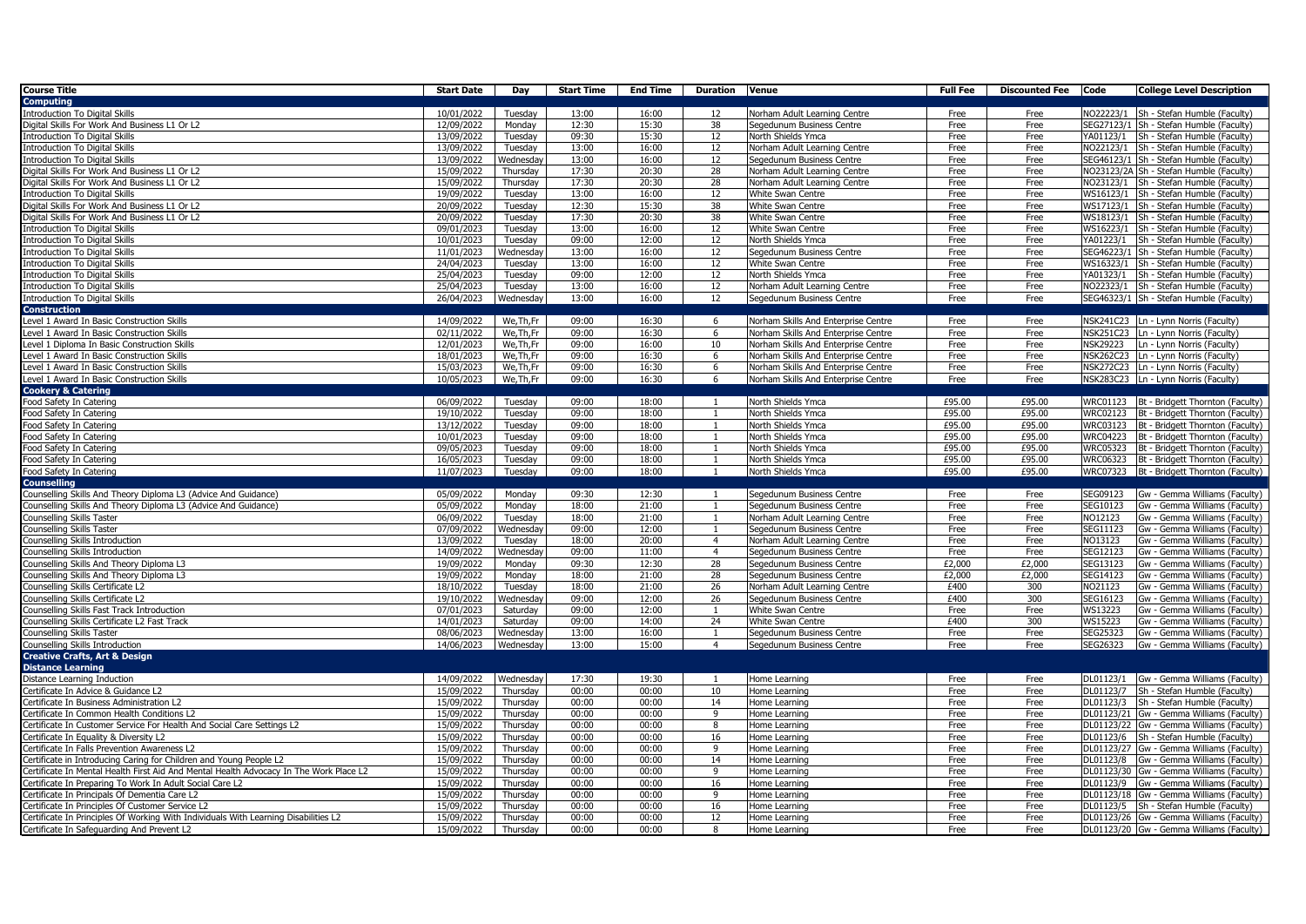| <b>Course Title</b>                                                                                                                                          | <b>Start Date</b>        | Day                  | Start Time     | End Time       | <b>Duration Venue</b> |                                     | Full Fee     | <b>Discounted Fee</b> Code | <b>College Level Description</b>                                                    |
|--------------------------------------------------------------------------------------------------------------------------------------------------------------|--------------------------|----------------------|----------------|----------------|-----------------------|-------------------------------------|--------------|----------------------------|-------------------------------------------------------------------------------------|
| <b>Computing</b>                                                                                                                                             |                          |                      |                |                |                       |                                     |              |                            |                                                                                     |
| Introduction To Digital Skills                                                                                                                               | 10/01/2022               | Tuesday              | 13:00          | 16:00          | 12                    | Norham Adult Learning Centre        | Free         | Free                       | NO22223/1 Sh - Stefan Humble (Faculty)                                              |
| Digital Skills For Work And Business L1 Or L2                                                                                                                | 12/09/2022               | Monday               | 12:30          | 15:30          | 38                    | Segedunum Business Centre           | Free         | Free                       | SEG27123/1 Sh - Stefan Humble (Faculty)                                             |
| <b>Introduction To Digital Skills</b>                                                                                                                        | 13/09/2022               | Tuesday              | 09:30          | 15:30          | 12                    | North Shields Ymca                  | Free         | Free                       | YA01123/1 Sh - Stefan Humble (Faculty)                                              |
| <b>Introduction To Digital Skills</b>                                                                                                                        | 13/09/2022               | Tuesday              | 13:00          | 16:00          | 12                    | Norham Adult Learning Centre        | Free         | Free                       | NO22123/1 Sh - Stefan Humble (Faculty)                                              |
| <b>Introduction To Digital Skills</b>                                                                                                                        | 13/09/2022               | Wednesday            | 13:00          | 16:00          | 12                    | Segedunum Business Centre           | Free         | Free                       | SEG46123/1 Sh - Stefan Humble (Faculty)                                             |
| Digital Skills For Work And Business L1 Or L2                                                                                                                | 15/09/2022               | Thursday             | 17:30          | 20:30          | 28                    | Norham Adult Learning Centre        | Free         | Free                       | NO23123/2A Sh - Stefan Humble (Faculty)                                             |
| Digital Skills For Work And Business L1 Or L2                                                                                                                | 15/09/2022               | Thursday             | 17:30          | 20:30          | 28                    | Norham Adult Learning Centre        | Free         | Free                       | NO23123/1 Sh - Stefan Humble (Faculty)                                              |
| <b>Introduction To Digital Skills</b>                                                                                                                        | 19/09/2022               | Tuesday              | 13:00          | 16:00          | 12                    | White Swan Centre                   | Free         | Free                       | WS16123/1 Sh - Stefan Humble (Faculty)                                              |
| Digital Skills For Work And Business L1 Or L2                                                                                                                | 20/09/2022               | Tuesday              | 12:30          | 15:30          | 38                    | White Swan Centre                   | Free         | Free                       | WS17123/1 Sh - Stefan Humble (Faculty)                                              |
| Digital Skills For Work And Business L1 Or L2                                                                                                                | 20/09/2022               | Tuesday              | 17:30          | 20:30          | 38                    | White Swan Centre                   | Free         | Free                       | WS18123/1<br>Sh - Stefan Humble (Faculty)                                           |
| <b>Introduction To Digital Skills</b>                                                                                                                        | $\sqrt{09}/01/2023$      | Tuesday              | 13:00          | 16:00          | 12                    | White Swan Centre                   | Free         | Free                       | WS16223/1 Sh - Stefan Humble (Faculty)                                              |
| <b>Introduction To Digital Skills</b>                                                                                                                        | 10/01/2023               | Tuesday              | 09:00          | 12:00          | 12                    | North Shields Ymca                  | Free         | Free                       | YA01223/1 Sh - Stefan Humble (Faculty)                                              |
| <b>Introduction To Digital Skills</b>                                                                                                                        | 11/01/2023               | Wednesday            | 13:00          | 16:00          | 12                    | Segedunum Business Centre           | Free         | Free                       | SEG46223/1 Sh - Stefan Humble (Faculty)                                             |
| <b>Introduction To Digital Skills</b>                                                                                                                        | 24/04/2023               | Tuesday              | 13:00          | 16:00          | 12                    | White Swan Centre                   | Free         | Free                       | WS16323/1 Sh - Stefan Humble (Faculty)                                              |
| <b>Introduction To Digital Skills</b>                                                                                                                        | 25/04/2023               | Tuesday              | 09:00          | 12:00          | 12                    | North Shields Ymca                  | Free         | Free                       | YA01323/1<br>Sh - Stefan Humble (Faculty)                                           |
| <b>Introduction To Digital Skills</b>                                                                                                                        | 25/04/2023               | Tuesday              | 13:00          | 16:00          | 12                    | Norham Adult Learning Centre        | Free         | Free                       | NO22323/1 Sh - Stefan Humble (Faculty)                                              |
| <b>Introduction To Digital Skills</b>                                                                                                                        | 26/04/2023               | Wednesday            | 13:00          | 16:00          | 12                    | Segedunum Business Centre           | Free         | Free                       | SEG46323/1 Sh - Stefan Humble (Faculty)                                             |
| <b>Construction</b>                                                                                                                                          |                          |                      |                |                |                       |                                     |              |                            |                                                                                     |
| Level 1 Award In Basic Construction Skills                                                                                                                   | 14/09/2022               | We, Th, Fr           | 09:00          | 16:30          | - 6                   | Norham Skills And Enterprise Centre | Free         | Free                       | NSK241C23   Ln - Lynn Norris (Faculty)                                              |
| Level 1 Award In Basic Construction Skills                                                                                                                   | 02/11/2022               | We, Th, Fr           | 09:00          | 16:30          | 6                     | Norham Skills And Enterprise Centre | Free         | Free                       | NSK251C23   Ln - Lynn Norris (Faculty)                                              |
| Level 1 Diploma In Basic Construction Skills                                                                                                                 | 12/01/2023               | We, Th, Fr           | 09:00          | 16:00          | 10                    | Norham Skills And Enterprise Centre | Free         | Free                       | NSK29223<br>Ln - Lynn Norris (Faculty)                                              |
| Level 1 Award In Basic Construction Skills                                                                                                                   | 18/01/2023               | We, Th, Fr           | 09:00          | 16:30          | 6                     | Norham Skills And Enterprise Centre | Free         | Free                       | NSK262C23   Ln - Lynn Norris (Faculty)                                              |
| Level 1 Award In Basic Construction Skills                                                                                                                   | 15/03/2023               | We, Th, Fr           | 09:00          | 16:30          | 6                     | Norham Skills And Enterprise Centre | Free         | Free                       | NSK272C23   Ln - Lynn Norris (Faculty)                                              |
| Level 1 Award In Basic Construction Skills                                                                                                                   | 10/05/2023               | We, Th, Fr           | 09:00          | 16:30          | 6                     | Norham Skills And Enterprise Centre | Free         | Free                       | NSK283C23  Ln - Lynn Norris (Faculty)                                               |
| <b>Cookery &amp; Catering</b>                                                                                                                                |                          |                      |                |                |                       |                                     |              |                            |                                                                                     |
| Food Safety In Catering                                                                                                                                      | 06/09/2022               | Tuesday              | 09:00          | 18:00          | -1                    | North Shields Ymca                  | £95.00       | £95.00                     | WRC01123<br>Bt - Bridgett Thornton (Faculty)                                        |
| Food Safety In Catering                                                                                                                                      | 19/10/2022               | Tuesday              | 09:00          | 18:00          |                       | North Shields Ymca                  | £95.00       | £95.00                     | WRC02123<br>Bt - Bridgett Thornton (Faculty)                                        |
| Food Safety In Catering                                                                                                                                      | 13/12/2022               | Tuesday              | 09:00          | 18:00          | $\mathbf{1}$          | North Shields Ymca                  | £95.00       | £95.00                     | WRC03123 Bt - Bridgett Thornton (Faculty)                                           |
| Food Safety In Catering                                                                                                                                      | 10/01/2023               | Tuesday              | 09:00          | 18:00          | -1                    | North Shields Ymca                  | £95.00       | £95.00                     | WRC04223<br>Bt - Bridgett Thornton (Faculty)                                        |
| Food Safety In Catering                                                                                                                                      | 09/05/2023               | Tuesday              | 09:00          | 18:00          |                       | North Shields Ymca                  | £95.00       | £95.00                     | WRC05323<br>Bt - Bridgett Thornton (Faculty)                                        |
| Food Safety In Catering                                                                                                                                      | 16/05/2023               | Tuesday              | 09:00          | 18:00          | $\mathbf{1}$          | North Shields Ymca                  | £95.00       | £95.00                     | WRC06323<br>Bt - Bridgett Thornton (Faculty)                                        |
| Food Safety In Catering                                                                                                                                      | 11/07/2023               | Tuesday              | 09:00          | 18:00          | 1                     | North Shields Ymca                  | £95.00       | £95.00                     | WRC07323<br>Bt - Bridgett Thornton (Faculty)                                        |
| <b>Counselling</b>                                                                                                                                           |                          |                      |                |                |                       |                                     |              |                            |                                                                                     |
| ounselling Skills And Theory Diploma L3 (Advice And Guidance)                                                                                                | 05/09/2022               | Monday               | 09:30          | 12:30          |                       | Segedunum Business Centre           | Free         | Free                       | SEG09123<br>Gw - Gemma Williams (Faculty)                                           |
| counselling Skills And Theory Diploma L3 (Advice And Guidance)                                                                                               | 05/09/2022               | Monday               | 18:00          | 21:00          | $\overline{1}$        | Segedunum Business Centre           | Free         | Free                       | SEG10123<br>Gw - Gemma Williams (Faculty)                                           |
| ounselling Skills Taster                                                                                                                                     | 06/09/2022               | Tuesday              | 18:00          | 21:00          | $\overline{1}$        | Norham Adult Learning Centre        | Free         | Free                       | NO12123<br>Gw - Gemma Williams (Faculty)                                            |
| ounselling Skills Taster                                                                                                                                     | 07/09/2022               | Wednesday            | 09:00          | 12:00          |                       | Segedunum Business Centre           | Free         | Free                       | SEG11123<br>Gw - Gemma Williams (Faculty)                                           |
| ounselling Skills Introduction                                                                                                                               | 13/09/2022               | Tuesdav              | 18:00          | 20:00          | $\overline{4}$        | Norham Adult Learning Centre        | Free         | Free                       | NO13123<br>Gw - Gemma Williams (Faculty)                                            |
| ounselling Skills Introduction                                                                                                                               | 14/09/2022               | Wednesday            | 09:00          | 11:00          | $\overline{4}$        | Segedunum Business Centre           | Free         | Free                       | SEG12123<br>Gw - Gemma Williams (Faculty)                                           |
| ounselling Skills And Theory Diploma L3                                                                                                                      | 19/09/2022               | Monday               | 09:30          | 12:30          | 28                    | Segedunum Business Centre           | £2,000       | £2,000                     | SEG13123<br>Gw - Gemma Williams (Faculty)                                           |
| ounselling Skills And Theory Diploma L3                                                                                                                      | 19/09/2022               | Monday               | 18:00          | 21:00          | 28                    | Segedunum Business Centre           | £2,000       | £2,000                     | SEG14123<br>Gw - Gemma Williams (Faculty)                                           |
| Counselling Skills Certificate L2                                                                                                                            | 18/10/2022               | Tuesday              | 18:00          | 21:00          | 26                    | Norham Adult Learning Centre        | £400         | 300                        | NO21123<br>Gw - Gemma Williams (Faculty)                                            |
| Counselling Skills Certificate L2                                                                                                                            | 19/10/2022               | Wednesday            | 09:00          | 12:00          | 26                    | Segedunum Business Centre           | £400         | 300                        | SEG16123<br>Gw - Gemma Williams (Faculty)                                           |
| Counselling Skills Fast Track Introduction                                                                                                                   | 07/01/2023               | Saturday             | 09:00          | 12:00          | -1                    | White Swan Centre                   | Free         | Free                       | WS13223<br>Gw - Gemma Williams (Faculty)                                            |
| Counselling Skills Certificate L2 Fast Track                                                                                                                 | 14/01/2023               | Saturday             | 09:00          | 14:00          | 24                    | White Swan Centre                   | £400         | 300                        | WS15223<br>Gw - Gemma Williams (Faculty)                                            |
| Counselling Skills Taster                                                                                                                                    | 08/06/2023               | Wednesday            | 13:00          | 16:00          |                       | Segedunum Business Centre           | Free         | Free                       | SEG25323<br>Gw - Gemma Williams (Faculty)                                           |
| Counselling Skills Introduction                                                                                                                              | 14/06/2023               | Wednesday            | 13:00          | 15:00          | $\overline{4}$        | Segedunum Business Centre           | Free         | Free                       | SEG26323<br>Gw - Gemma Williams (Faculty)                                           |
| <b>Creative Crafts, Art &amp; Design</b>                                                                                                                     |                          |                      |                |                |                       |                                     |              |                            |                                                                                     |
| <b>Distance Learning</b>                                                                                                                                     |                          |                      |                |                |                       |                                     |              |                            |                                                                                     |
| Distance Learning Induction                                                                                                                                  | 14/09/2022               | Wednesday            | 17:30          | 19:30          | $\overline{1}$        | Home Learning                       | Free         | Free                       | DL01123/1 Gw - Gemma Williams (Faculty)                                             |
| ertificate In Advice & Guidance L2                                                                                                                           | 15/09/2022               | Thursdav             | 00:00<br>00:00 | 00:00<br>00:00 | 10                    | Home Learning                       | Free         | Free                       | Sh - Stefan Humble (Faculty)<br>DL01123/7<br>DL01123/3 Sh - Stefan Humble (Faculty) |
| Certificate In Business Administration L2<br>Certificate In Common Health Conditions L2                                                                      | 15/09/2022<br>15/09/2022 | Thursday<br>Thursdav | 00:00          | 00:00          | 14<br>q               | Home Learning                       | Free         | Free                       |                                                                                     |
|                                                                                                                                                              |                          |                      |                |                |                       | Home Learning                       | Free         | Free                       | DL01123/21 Gw - Gemma Williams (Faculty)                                            |
| ertificate In Customer Service For Health And Social Care Settings L2                                                                                        | 15/09/2022               | Thursday             | 00:00<br>00:00 | 00:00<br>00:00 | 8                     | Home Learning                       | Free         | Free                       | DL01123/22 Gw - Gemma Williams (Faculty)                                            |
| ertificate In Equality & Diversity L2                                                                                                                        | 15/09/2022               | Thursday             | 00:00          |                | 16<br>9               | Home Learning                       | Free         | Free                       | DL01123/6 Sh - Stefan Humble (Faculty)                                              |
| Certificate In Falls Prevention Awareness L2                                                                                                                 | 15/09/2022               | Thursday             |                | 00:00          |                       | Home Learning                       | Free         | Free                       | DL01123/27 Gw - Gemma Williams (Faculty)                                            |
| Certificate in Introducing Caring for Children and Young People L2<br>Certificate In Mental Health First Aid And Mental Health Advocacy In The Work Place L2 | 15/09/2022               | Thursday             | 00:00<br>00:00 | 00:00<br>00:00 | 14<br>9               | Home Learning                       | Free         | Free                       | DL01123/8<br>Gw - Gemma Williams (Faculty)                                          |
| ertificate In Preparing To Work In Adult Social Care L2                                                                                                      | 15/09/2022<br>15/09/2022 | Thursday<br>Thursday | 00:00          | 00:00          | 16                    | Home Learning                       | Free         | Free<br>Free               | DL01123/30 Gw - Gemma Williams (Faculty)<br>DL01123/9 Gw - Gemma Williams (Faculty) |
|                                                                                                                                                              |                          |                      | 00:00          | 00:00          | <b>q</b>              | Home Learning                       | Free         |                            |                                                                                     |
| Certificate In Principals Of Dementia Care L2<br>ertificate In Principles Of Customer Service L2                                                             | 15/09/2022<br>15/09/2022 | Thursday<br>Thursday | 00:00          | 00:00          | 16                    | Home Learning                       | Free<br>Free | Free<br>Free               | DL01123/18 Gw - Gemma Williams (Faculty)<br>DL01123/5 Sh - Stefan Humble (Faculty)  |
| Certificate In Principles Of Working With Individuals With Learning Disabilities L2                                                                          |                          |                      | 00:00          | 00:00          | 12                    | Home Learning                       | Free         | Free                       |                                                                                     |
|                                                                                                                                                              | 15/09/2022<br>15/09/2022 | Thursday<br>Thursdav | 00:00          | 00:00          | 8                     | Home Learning<br>Home Learning      |              |                            | DL01123/26 Gw - Gemma Williams (Faculty)                                            |
| Certificate In Safeguarding And Prevent L2                                                                                                                   |                          |                      |                |                |                       |                                     | Free         | Free                       | DL01123/20 Gw - Gemma Williams (Faculty)                                            |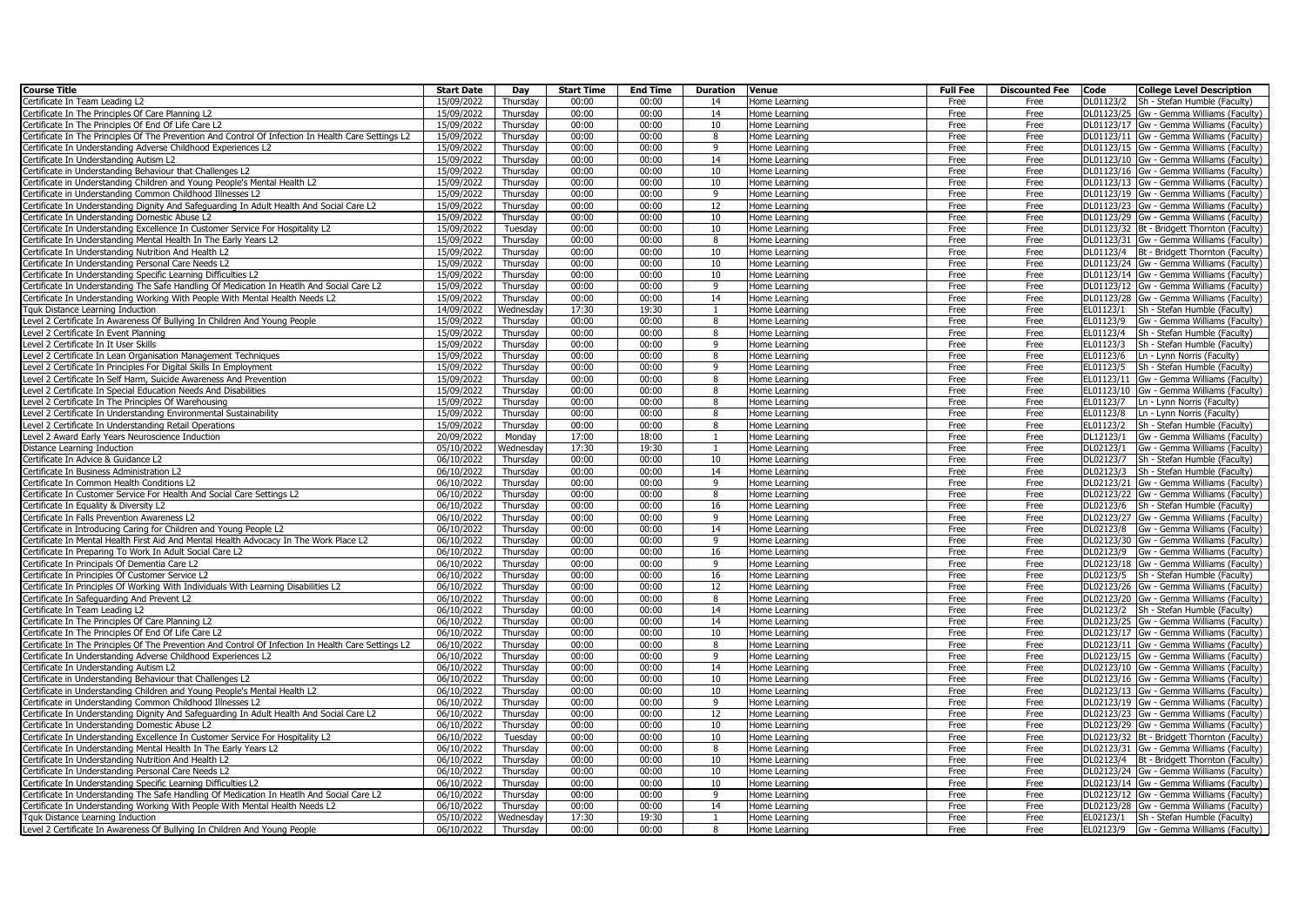| <b>Course Title</b>                                                                                | <b>Start Date</b> | Day       | <b>Start Time</b> | <b>End Time</b> | <b>Duration</b> | Venue         | <b>Full Fee</b> | <b>Discounted Fee</b> | Code      | <b>College Level Description</b>             |
|----------------------------------------------------------------------------------------------------|-------------------|-----------|-------------------|-----------------|-----------------|---------------|-----------------|-----------------------|-----------|----------------------------------------------|
| Certificate In Team Leading L2                                                                     | 15/09/2022        | Thursday  | 00:00             | 00:00           | 14              | Home Learning | Free            | Free                  | DL01123/2 | Sh - Stefan Humble (Faculty)                 |
| ertificate In The Principles Of Care Planning L2                                                   | 15/09/2022        | Thursday  | 00:00             | 00:00           | 14              | Home Learning | Free            | Free                  |           | DL01123/25 Gw - Gemma Williams (Faculty)     |
| ertificate In The Principles Of End Of Life Care L2                                                | 15/09/2022        | Thursday  | 00:00             | 00:00           | 10              | Home Learning | Free            | Free                  |           | DL01123/17 Gw - Gemma Williams (Faculty)     |
| ertificate In The Principles Of The Prevention And Control Of Infection In Health Care Settings L2 | 15/09/2022        | Thursday  | 00:00             | 00:00           | 8               | Home Learning | Free            | Free                  |           | DL01123/11 Gw - Gemma Williams (Faculty)     |
| ertificate In Understanding Adverse Childhood Experiences L2                                       | 15/09/2022        | Thursday  | 00:00             | 00:00           | 9               | Home Learning | Free            | Free                  |           | DL01123/15 Gw - Gemma Williams (Faculty)     |
| ertificate In Understanding Autism L2                                                              | 15/09/2022        | Thursday  | 00:00             | 00:00           | 14              | Home Learning | Free            | Free                  |           | DL01123/10 Gw - Gemma Williams (Faculty)     |
| Certificate in Understanding Behaviour that Challenges L2                                          | 15/09/2022        | Thursday  | 00:00             | 00:00           | 10              | Home Learning | Free            | Free                  |           | DL01123/16 Gw - Gemma Williams (Faculty)     |
| ertificate in Understanding Children and Young People's Mental Health L2                           | 15/09/2022        | Thursday  | 00:00             | 00:00           | 10              | Home Learning | Free            | Free                  |           | DL01123/13 Gw - Gemma Williams (Faculty)     |
| ertificate in Understanding Common Childhood Illnesses L2                                          | 15/09/2022        | Thursday  | 00:00             | 00:00           | 9               | Home Learning | Free            | Free                  |           | DL01123/19 Gw - Gemma Williams (Faculty)     |
| ertificate In Understanding Dignity And Safeguarding In Adult Health And Social Care L2            | 15/09/2022        | Thursdav  | 00:00             | 00:00           | 12              | Home Learning | Free            | Free                  |           | DL01123/23 Gw - Gemma Williams (Faculty)     |
| Certificate In Understanding Domestic Abuse L2                                                     | 15/09/2022        | Thursday  | 00:00             | 00:00           | 10              | Home Learning | Free            | Free                  |           | DL01123/29 Gw - Gemma Williams (Faculty)     |
| Certificate In Understanding Excellence In Customer Service For Hospitality L2                     | 15/09/2022        | Tuesdav   | 00:00             | 00:00           | 10              | Home Learning | Free            | Free                  |           | DL01123/32 Bt - Bridgett Thornton (Faculty)  |
| ertificate In Understanding Mental Health In The Early Years L2                                    | 15/09/2022        | Thursday  | 00:00             | 00:00           | 8               | Home Learning | Free            | Free                  |           | DL01123/31 Gw - Gemma Williams (Faculty)     |
| ertificate In Understanding Nutrition And Health L2                                                | 15/09/2022        | Thursday  | 00:00             | 00:00           | 10              | Home Learning | Free            | Free                  |           | DL01123/4 Bt - Bridgett Thornton (Faculty)   |
| ertificate In Understanding Personal Care Needs L2                                                 | 15/09/2022        | Thursday  | 00:00             | 00:00           | 10              | Home Learning | Free            | Free                  |           | DL01123/24 Gw - Gemma Williams (Faculty)     |
| ertificate In Understanding Specific Learning Difficulties L2                                      | 15/09/2022        | Thursday  | 00:00             | 00:00           | 10              | Home Learning | Free            | Free                  |           | DL01123/14 Gw - Gemma Williams (Faculty)     |
| ertificate In Understanding The Safe Handling Of Medication In Heatlh And Social Care L2           | 15/09/2022        | Thursday  | 00:00             | 00:00           | 9               | Home Learning | Free            | Free                  |           | DL01123/12 Gw - Gemma Williams (Faculty)     |
| ertificate In Understanding Working With People With Mental Health Needs L2                        | 15/09/2022        | Thursday  | 00:00             | 00:00           | 14              | Home Learning | Free            | Free                  |           | DL01123/28 Gw - Gemma Williams (Faculty)     |
| <b>Fquk Distance Learning Induction</b>                                                            | 14/09/2022        | Wednesday | 17:30             | 19:30           | $\mathbf{1}$    | Home Learning | Free            | Free                  |           | EL01123/1   Sh - Stefan Humble (Faculty)     |
| Level 2 Certificate In Awareness Of Bullying In Children And Young People                          | 15/09/2022        | Thursday  | 00:00             | 00:00           | -8              | Home Learning | Free            | Free                  | EL01123/9 | Gw - Gemma Williams (Faculty)                |
| Level 2 Certificate In Event Planning                                                              | 15/09/2022        | Thursday  | 00:00             | 00:00           | 8               | Home Learning | Free            | Free                  | EL01123/4 | Sh - Stefan Humble (Faculty)                 |
| Level 2 Certificate In It User Skills                                                              | 15/09/2022        | Thursdav  | 00:00             | 00:00           | 9               | Home Learning | Free            | Free                  |           | EL01123/3   Sh - Stefan Humble (Faculty)     |
| Level 2 Certificate In Lean Organisation Management Techniques                                     | 15/09/2022        | Thursdav  | 00:00             | 00:00           | 8               | Home Learning | Free            | Free                  |           | EL01123/6   Ln - Lynn Norris (Faculty)       |
| evel 2 Certificate In Principles For Digital Skills In Employment                                  | 15/09/2022        | Thursday  | 00:00             | 00:00           | 9               | Home Learning | Free            | Free                  | EL01123/5 | Sh - Stefan Humble (Faculty)                 |
| Level 2 Certificate In Self Harm, Suicide Awareness And Prevention                                 | 15/09/2022        | Thursday  | 00:00             | 00:00           | 8               | Home Learning | Free            | Free                  |           | EL01123/11 Gw - Gemma Williams (Faculty)     |
| Level 2 Certificate In Special Education Needs And Disabilities                                    | 15/09/2022        | Thursday  | 00:00             | 00:00           | 8               | Home Learning | Free            | Free                  |           | EL01123/10 Gw - Gemma Williams (Faculty)     |
| evel 2 Certificate In The Principles Of Warehousing                                                | 15/09/2022        | Thursdav  | 00:00             | 00:00           | 8               | Home Learning | Free            | Free                  |           | EL01123/7   Ln - Lynn Norris (Faculty)       |
| evel 2 Certificate In Understanding Environmental Sustainability                                   | 15/09/2022        | Thursday  | 00:00             | 00:00           | 8               | Home Learning | Free            | Free                  | EL01123/8 | Ln - Lynn Norris (Faculty)                   |
| evel 2 Certificate In Understanding Retail Operations                                              | 15/09/2022        | Thursday  | 00:00             | 00:00           | 8               | Home Learning | Free            | Free                  | EL01123/2 | Sh - Stefan Humble (Faculty)                 |
| Level 2 Award Early Years Neuroscience Induction                                                   | 20/09/2022        | Monday    | 17:00             | 18:00           | $\mathbf{1}$    | Home Learning | Free            | Free                  | DL12123/1 | Gw - Gemma Williams (Faculty)                |
| Distance Learning Induction                                                                        | 05/10/2022        | Wednesday | 17:30             | 19:30           | $\mathbf{1}$    | Home Learning | Free            | Free                  | DL02123/1 | Gw - Gemma Williams (Faculty)                |
| Certificate In Advice & Guidance L2                                                                | 06/10/2022        | Thursdav  | 00:00             | 00:00           | 10              | Home Learning | Free            | Free                  |           | DL02123/7   Sh - Stefan Humble (Faculty)     |
| Certificate In Business Administration L2                                                          | 06/10/2022        | Thursday  | 00:00             | 00:00           | 14              | Home Learning | Free            | Free                  |           | DL02123/3 Sh - Stefan Humble (Faculty)       |
| ertificate In Common Health Conditions L2                                                          | 06/10/2022        | Thursday  | 00:00             | 00:00           | 9               | Home Learning | Free            | Free                  |           | DL02123/21 Gw - Gemma Williams (Faculty)     |
| ertificate In Customer Service For Health And Social Care Settings L2                              | 06/10/2022        | Thursday  | 00:00             | 00:00           | 8               | Home Learning | Free            | Free                  |           | DL02123/22 Gw - Gemma Williams (Faculty)     |
| Certificate In Equality & Diversity L2                                                             | 06/10/2022        | Thursday  | 00:00             | 00:00           | 16              | Home Learning | Free            | Free                  |           | DL02123/6 Sh - Stefan Humble (Faculty)       |
| ertificate In Falls Prevention Awareness L2                                                        | 06/10/2022        | Thursday  | 00:00             | 00:00           | 9               | Home Learning | Free            | Free                  |           | DL02123/27 Gw - Gemma Williams (Faculty)     |
| ertificate in Introducing Caring for Children and Young People L2                                  | 06/10/2022        | Thursday  | 00:00             | 00:00           | 14              | Home Learning | Free            | Free                  |           | DL02123/8 Gw - Gemma Williams (Faculty)      |
| ertificate In Mental Health First Aid And Mental Health Advocacy In The Work Place L2              | 06/10/2022        | Thursday  | 00:00             | 00:00           | 9               | Home Learning | Free            | Free                  |           | DL02123/30 Gw - Gemma Williams (Faculty)     |
| ertificate In Preparing To Work In Adult Social Care L2                                            | 06/10/2022        | Thursday  | 00:00             | 00:00           | 16              | Home Learning | Free            | Free                  |           | DL02123/9 Gw - Gemma Williams (Faculty)      |
| ertificate In Principals Of Dementia Care L2                                                       | 06/10/2022        | Thursday  | 00:00             | 00:00           | 9               | Home Learning | Free            | Free                  |           | DL02123/18 Gw - Gemma Williams (Faculty)     |
| ertificate In Principles Of Customer Service L2                                                    | 06/10/2022        | Thursday  | 00:00             | 00:00           | 16              | Home Learning | Free            | Free                  |           | DL02123/5 Sh - Stefan Humble (Faculty)       |
| ertificate In Principles Of Working With Individuals With Learning Disabilities L2                 | 06/10/2022        | Thursday  | 00:00             | 00:00           | 12              | Home Learning | Free            | Free                  |           | DL02123/26 Gw - Gemma Williams (Faculty)     |
| Certificate In Safeguarding And Prevent L2                                                         | 06/10/2022        | Thursday  | 00:00             | 00:00           | 8               | Home Learning | Free            | Free                  |           | DL02123/20 Gw - Gemma Williams (Faculty)     |
| ertificate In Team Leading L2                                                                      | 06/10/2022        | Thursday  | 00:00             | 00:00           | 14              | Home Learning | Free            | Free                  |           | DL02123/2 Sh - Stefan Humble (Faculty)       |
| Certificate In The Principles Of Care Planning L2                                                  | 06/10/2022        | Thursday  | 00:00             | 00:00           | 14              | Home Learning | Free            | Free                  |           | DL02123/25 Gw - Gemma Williams (Faculty)     |
| Certificate In The Principles Of End Of Life Care L2                                               | 06/10/2022        | Thursdav  | 00:00             | 00:00           | 10              | Home Learning | Free            | Free                  |           | DL02123/17 Gw - Gemma Williams (Faculty)     |
| ertificate In The Principles Of The Prevention And Control Of Infection In Health Care Settings L2 | 06/10/2022        | Thursday  | 00:00             | 00:00           | 8               | Home Learning | Free            | Free                  |           | DL02123/11 Gw - Gemma Williams (Faculty)     |
| ertificate In Understanding Adverse Childhood Experiences L2                                       | 06/10/2022        | Thursday  | 00:00             | 00:00           | 9               | Home Learning | Free            | Free                  |           | DL02123/15 Gw - Gemma Williams (Faculty)     |
| ertificate In Understanding Autism L2                                                              | 06/10/2022        | Thursday  | 00:00             | 00:00           | 14              | Home Learning | Free            | Free                  |           | DL02123/10 Gw - Gemma Williams (Faculty)     |
| ertificate in Understanding Behaviour that Challenges L2                                           | 06/10/2022        | Thursday  | 00:00             | 00:00           | 10              | Home Learning | Free            | Free                  |           | DL02123/16 Gw - Gemma Williams (Faculty)     |
| ertificate in Understanding Children and Young People's Mental Health L2                           | 06/10/2022        | Thursday  | 00:00             | 00:00           | 10              | Home Learning | Free            | Free                  |           | DL02123/13 Gw - Gemma Williams (Faculty)     |
| ertificate in Understanding Common Childhood Illnesses L2                                          | 06/10/2022        | Thursday  | 00:00             | 00:00           | 9               | Home Learning | Free            | Free                  |           | DL02123/19 Gw - Gemma Williams (Faculty)     |
| ertificate In Understanding Dignity And Safeguarding In Adult Health And Social Care L2            | 06/10/2022        | Thursday  | 00:00             | 00:00           | 12              | Home Learning | Free            | Free                  |           | DL02123/23 Gw - Gemma Williams (Faculty)     |
| ertificate In Understanding Domestic Abuse L2                                                      | 06/10/2022        | Thursday  | 00:00             | 00:00           | 10              | Home Learning | Free            | Free                  |           | DL02123/29 Gw - Gemma Williams (Faculty)     |
| ertificate In Understanding Excellence In Customer Service For Hospitality L2                      | 06/10/2022        | Tuesday   | 00:00             | 00:00           | 10              | Home Learning | Free            | Free                  |           | DL02123/32 Bt - Bridgett Thornton (Faculty)  |
| Certificate In Understanding Mental Health In The Early Years L2                                   | 06/10/2022        | Thursdav  | 00:00             | 00:00           | 8               | Home Learning | Free            | Free                  |           | DL02123/31 Gw - Gemma Williams (Faculty)     |
| ertificate In Understanding Nutrition And Health L2                                                | 06/10/2022        | Thursday  | 00:00             | 00:00           | 10              | Home Learning | Free            | Free                  |           | DL02123/4   Bt - Bridgett Thornton (Faculty) |
| ertificate In Understanding Personal Care Needs L2                                                 | 06/10/2022        | Thursday  | 00:00             | 00:00           | 10              | Home Learning | Free            | Free                  |           | DL02123/24 Gw - Gemma Williams (Faculty)     |
| ertificate In Understanding Specific Learning Difficulties L2                                      | 06/10/2022        | Thursday  | 00:00             | 00:00           | 10              | Home Learning | Free            | Free                  |           | DL02123/14 Gw - Gemma Williams (Faculty)     |
| Certificate In Understanding The Safe Handling Of Medication In Heatlh And Social Care L2          | 06/10/2022        | Thursday  | 00:00             | 00:00           | 9               | Home Learning | Free            | Free                  |           | DL02123/12 Gw - Gemma Williams (Faculty)     |
| ertificate In Understanding Working With People With Mental Health Needs L2                        | 06/10/2022        | Thursdav  | 00:00             | 00:00           | 14              | Home Learning | Free            | Free                  |           | DL02123/28 Gw - Gemma Williams (Faculty)     |
| Tquk Distance Learning Induction                                                                   | 05/10/2022        | Wednesday | 17:30             | 19:30           |                 | Home Learning | Free            | Free                  | EL02123/1 | Sh - Stefan Humble (Faculty)                 |
| Level 2 Certificate In Awareness Of Bullying In Children And Young People                          | 06/10/2022        | Thursday  | 00:00             | 00:00           | 8               | Home Learning | Free            | Free                  | EL02123/9 | Gw - Gemma Williams (Faculty)                |
|                                                                                                    |                   |           |                   |                 |                 |               |                 |                       |           |                                              |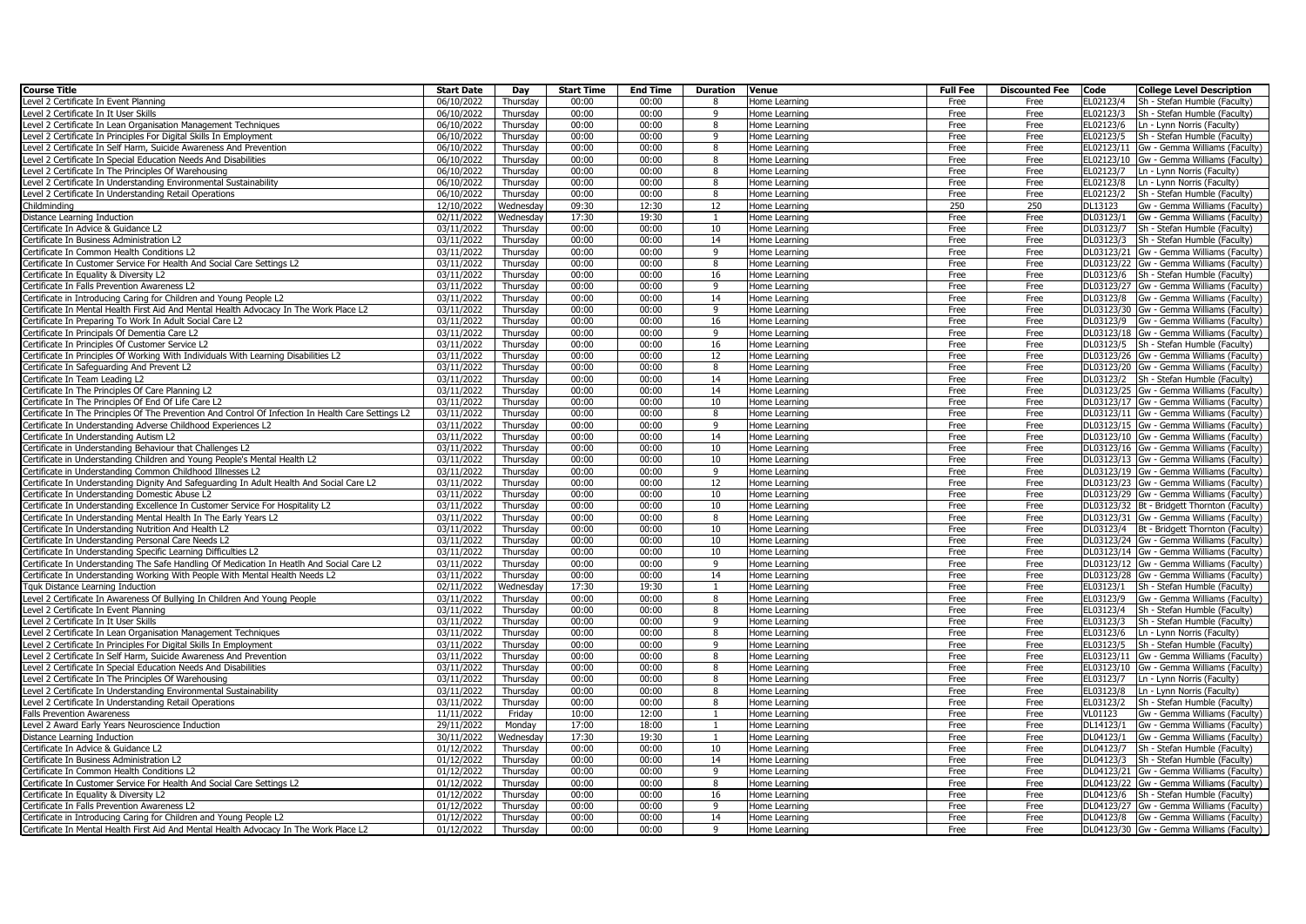| <b>Course Title</b>                                                                                 | <b>Start Date</b>                 | Day                | <b>Start Time</b> | <b>End Time</b> | <b>Duration</b> | Venue                          | <b>Full Fee</b> | <b>Discounted Fee</b> | Code                 | <b>College Level Description</b>                              |
|-----------------------------------------------------------------------------------------------------|-----------------------------------|--------------------|-------------------|-----------------|-----------------|--------------------------------|-----------------|-----------------------|----------------------|---------------------------------------------------------------|
| Level 2 Certificate In Event Planning                                                               | 06/10/2022                        | Thursday           | 00:00             | 00:00           | -8              | Home Learning                  | Free            | Free                  | EL02123/4            | Sh - Stefan Humble (Faculty)                                  |
| Level 2 Certificate In It User Skills                                                               | 06/10/2022                        | Thursday           | 00:00             | 00:00           | 9               | Home Learning                  | Free            | Free                  | EL02123/3            | Sh - Stefan Humble (Faculty)                                  |
| Level 2 Certificate In Lean Organisation Management Techniques                                      | 06/10/2022                        | Thursdav           | 00:00             | 00:00           | $\mathbf{g}$    | Home Learning                  | Free            | Free                  | EL02123/6            | Ln - Lynn Norris (Faculty)                                    |
| Level 2 Certificate In Principles For Digital Skills In Employment                                  | 06/10/2022                        | Thursday           | 00:00             | 00:00           | 9               | Home Learning                  | Free            | Free                  | EL02123/5            | Sh - Stefan Humble (Faculty)                                  |
| Level 2 Certificate In Self Harm, Suicide Awareness And Prevention                                  | 06/10/2022                        | Thursdav           | 00:00             | 00:00           | 8               | Home Learning                  | Free            | Free                  |                      | EL02123/11 Gw - Gemma Williams (Faculty)                      |
| Level 2 Certificate In Special Education Needs And Disabilities                                     | 06/10/2022                        | Thursday           | 00:00             | 00:00           | 8               | Home Learning                  | Free            | Free                  |                      | EL02123/10 Gw - Gemma Williams (Faculty)                      |
| Level 2 Certificate In The Principles Of Warehousing                                                | 06/10/2022                        | Thursday           | 00:00             | 00:00           | 8               | Home Learning                  | Free            | Free                  |                      | EL02123/7   Ln - Lynn Norris (Faculty)                        |
| Level 2 Certificate In Understanding Environmental Sustainability                                   | 06/10/2022                        | Thursday           | 00:00             | 00:00           | 8               | Home Learning                  | Free            | Free                  | EL02123/8            | Ln - Lynn Norris (Faculty)                                    |
| Level 2 Certificate In Understanding Retail Operations                                              | 06/10/2022                        | Thursday           | 00:00             | 00:00           | 8               | Home Learning                  | Free            | Free                  | EL02123/2            | Sh - Stefan Humble (Faculty)                                  |
| Childminding                                                                                        | 12/10/2022                        | Wednesday          | 09:30             | 12:30           | 12              | Home Learning                  | 250             | 250                   | DL13123              | Gw - Gemma Williams (Faculty)                                 |
| Distance Learning Induction                                                                         | 02/11/2022                        | Wednesday          | 17:30             | 19:30           |                 | Home Learning                  | Free            | Free                  | DL03123/1            | Gw - Gemma Williams (Faculty)                                 |
| Certificate In Advice & Guidance L2                                                                 | 03/11/2022                        | Thursday           | 00:00             | 00:00           | 10              | Home Learning                  | Free            | Free                  |                      | DL03123/7 Sh - Stefan Humble (Faculty)                        |
| Certificate In Business Administration L2                                                           | 03/11/2022                        | Thursday           | 00:00             | 00:00           | 14              | Home Learning                  | Free            | Free                  |                      | DL03123/3 Sh - Stefan Humble (Faculty)                        |
| Certificate In Common Health Conditions L2                                                          | 03/11/2022                        | Thursday           | 00:00             | 00:00           | $\alpha$        | Home Learning                  | Free            | Free                  |                      | DL03123/21 Gw - Gemma Williams (Faculty)                      |
| Certificate In Customer Service For Health And Social Care Settings L2                              | 03/11/2022                        | Thursday           | 00:00             | 00:00           | 8               | Home Learning                  | Free            | Free                  |                      | DL03123/22 Gw - Gemma Williams (Faculty)                      |
| Certificate In Equality & Diversity L2                                                              | 03/11/2022                        | Thursday           | 00:00             | 00:00           | 16              | Home Learning                  | Free            | Free                  |                      | DL03123/6 Sh - Stefan Humble (Faculty)                        |
| Certificate In Falls Prevention Awareness L2                                                        | 03/11/2022                        | Thursday           | 00:00             | 00:00           | q               | Home Learning                  | Free            | Free                  |                      | DL03123/27 Gw - Gemma Williams (Faculty)                      |
| Certificate in Introducing Caring for Children and Young People L2                                  | 03/11/2022                        | Thursday           | 00:00             | 00:00           | 14              | Home Learning                  | Free            | Free                  |                      | DL03123/8 Gw - Gemma Williams (Faculty)                       |
| Certificate In Mental Health First Aid And Mental Health Advocacy In The Work Place L2              | 03/11/2022                        | Thursday           | 00:00             | 00:00           | 9               | Home Learning                  | Free            | Free                  |                      | DL03123/30 Gw - Gemma Williams (Faculty)                      |
| Certificate In Preparing To Work In Adult Social Care L2                                            | 03/11/2022                        | Thursdav           | 00:00             | 00:00           | 16              | Home Learning                  | Free            | Free                  |                      | DL03123/9 Gw - Gemma Williams (Faculty)                       |
| Certificate In Principals Of Dementia Care L2                                                       | 03/11/2022                        | Thursday           | 00:00             | 00:00           | 9               | Home Learning                  | Free            | Free                  |                      | DL03123/18 Gw - Gemma Williams (Faculty)                      |
| Certificate In Principles Of Customer Service L2                                                    | 03/11/2022                        | Thursday           | 00:00             | 00:00           | 16              | Home Learning                  | Free            | Free                  |                      | DL03123/5 Sh - Stefan Humble (Faculty)                        |
| Certificate In Principles Of Working With Individuals With Learning Disabilities L2                 | 03/11/2022                        | Thursday           | 00:00             | 00:00           | 12              | Home Learning                  | Free            | Free                  |                      | DL03123/26 Gw - Gemma Williams (Faculty)                      |
| Certificate In Safeguarding And Prevent L2                                                          | 03/11/2022                        | Thursday           | 00:00             | 00:00           | 8               | Home Learning                  | Free            | Free                  |                      | DL03123/20 Gw - Gemma Williams (Faculty)                      |
| Certificate In Team Leading L2                                                                      | 03/11/2022                        | Thursday           | 00:00             | 00:00           | 14              | Home Learning                  | Free            | Free                  |                      | DL03123/2 Sh - Stefan Humble (Faculty)                        |
| Certificate In The Principles Of Care Planning L2                                                   | 03/11/2022                        | Thursday           | 00:00             | 00:00           | 14              | Home Learning                  | Free            | Free                  |                      | DL03123/25 Gw - Gemma Williams (Faculty)                      |
| Certificate In The Principles Of End Of Life Care L2                                                | 03/11/2022                        | Thursday           | 00:00             | 00:00           | 10              | Home Learning                  | Free            | Free                  |                      | DL03123/17 Gw - Gemma Williams (Faculty)                      |
| Certificate In The Principles Of The Prevention And Control Of Infection In Health Care Settings L2 | 03/11/2022                        | Thursday           | 00:00             | 00:00           | 8               | Home Learning                  | Free            | Free                  |                      | DL03123/11 Gw - Gemma Williams (Faculty)                      |
| Certificate In Understanding Adverse Childhood Experiences L2                                       | 03/11/2022                        | Thursday           | 00:00             | 00:00           | 9               | Home Learning                  | Free            | Free                  |                      | DL03123/15 Gw - Gemma Williams (Faculty)                      |
| Certificate In Understanding Autism L2                                                              | 03/11/2022                        | Thursdav           | 00:00             | 00:00           | 14              | Home Learning                  | Free            | Free                  |                      | DL03123/10 Gw - Gemma Williams (Faculty)                      |
| Certificate in Understanding Behaviour that Challenges L2                                           | 03/11/2022                        | Thursday           | 00:00             | 00:00           | 10              | Home Learning                  | Free            | Free                  |                      | DL03123/16 Gw - Gemma Williams (Faculty)                      |
| Certificate in Understanding Children and Young People's Mental Health L2                           | 03/11/2022                        | Thursday           | 00:00             | 00:00           | 10              | Home Learning                  | Free            | Free                  |                      | DL03123/13 Gw - Gemma Williams (Faculty)                      |
| Certificate in Understanding Common Childhood Illnesses L2                                          | 03/11/2022                        | Thursday           | 00:00             | 00:00           | 9               | Home Learning                  | Free            | Free                  |                      | DL03123/19 Gw - Gemma Williams (Faculty)                      |
| Certificate In Understanding Dignity And Safeguarding In Adult Health And Social Care L2            | 03/11/2022                        | Thursday           | 00:00             | 00:00           | 12              | Home Learning                  | Free            | Free                  |                      | DL03123/23 Gw - Gemma Williams (Faculty)                      |
| Certificate In Understanding Domestic Abuse L2                                                      | 03/11/2022                        | Thursdav           | 00:00             | 00:00           | 10              | Home Learning                  | Free            | Free                  |                      | DL03123/29 Gw - Gemma Williams (Faculty)                      |
| Certificate In Understanding Excellence In Customer Service For Hospitality L2                      | 03/11/2022                        | Thursday           | 00:00             | 00:00           | 10              | Home Learning                  | Free            | Free                  |                      | DL03123/32 Bt - Bridgett Thornton (Faculty)                   |
| Certificate In Understanding Mental Health In The Early Years L2                                    | 03/11/2022                        | Thursday           | 00:00             | 00:00           | $\mathbf{g}$    | Home Learning                  | Free            | Free                  |                      | DL03123/31 Gw - Gemma Williams (Faculty)                      |
| Certificate In Understanding Nutrition And Health L2                                                | 03/11/2022                        | Thursday           | 00:00             | 00:00           | 10              | Home Learning                  | Free            | Free                  |                      | DL03123/4   Bt - Bridgett Thornton (Faculty)                  |
| Certificate In Understanding Personal Care Needs L2                                                 | 03/11/2022                        | Thursday           | 00:00             | 00:00           | 10              | Home Learning                  | Free            | Free                  |                      | DL03123/24 Gw - Gemma Williams (Faculty)                      |
| Certificate In Understanding Specific Learning Difficulties L2                                      | 03/11/2022                        | Thursday           | 00:00             | 00:00           | 10              | Home Learning                  | Free            | Free                  |                      | DL03123/14 Gw - Gemma Williams (Faculty)                      |
| Certificate In Understanding The Safe Handling Of Medication In Heatlh And Social Care L2           | 03/11/2022                        | Thursday           | 00:00             | 00:00           | $\mathbf{q}$    | Home Learning                  | Free            | Free                  |                      | DL03123/12 Gw - Gemma Williams (Faculty)                      |
| Certificate In Understanding Working With People With Mental Health Needs L2                        | 03/11/2022                        | Thursday           | 00:00             | 00:00           | 14              | Home Learning                  | Free            | Free                  |                      | DL03123/28 Gw - Gemma Williams (Faculty)                      |
| Tquk Distance Learning Induction                                                                    | 02/11/2022                        | Wednesday          | 17:30             | 19:30           | $\mathbf{1}$    | Home Learning                  | Free            | Free                  |                      | EL03123/1 Sh - Stefan Humble (Faculty)                        |
| Level 2 Certificate In Awareness Of Bullying In Children And Young People                           | 03/11/2022                        | Thursday           | 00:00             | 00:00           | 8               | Home Learning                  | Free            | Free                  | EL03123/9            | Gw - Gemma Williams (Faculty)                                 |
| Level 2 Certificate In Event Planning                                                               | $\sqrt{03/11}/2022$               | Thursday           | 00:00             | 00:00           | 8               | Home Learning                  | Free            | Free                  | EL03123/4            | Sh - Stefan Humble (Faculty)                                  |
| Level 2 Certificate In It User Skills                                                               | 03/11/2022                        | Thursday           | 00:00             | 00:00           | q               | Home Learning                  | Free            | Free                  | EL03123/3            | Sh - Stefan Humble (Faculty)                                  |
| Level 2 Certificate In Lean Organisation Management Techniques                                      | 03/11/2022                        | Thursday           | 00:00             | 00:00           | 8               | Home Learning                  | Free            | Free                  |                      | EL03123/6   Ln - Lynn Norris (Faculty)                        |
| Level 2 Certificate In Principles For Digital Skills In Employment                                  | 03/11/2022                        | Thursday           | 00:00             | 00:00           | q               | Home Learning                  | Free            | Free                  | EL03123/5            | Sh - Stefan Humble (Faculty)                                  |
| Level 2 Certificate In Self Harm, Suicide Awareness And Prevention                                  | 03/11/2022                        | Thursday           | 00:00             | 00:00           | 8               | Home Learning                  | Free            | Free                  |                      | EL03123/11 Gw - Gemma Williams (Faculty)                      |
| Level 2 Certificate In Special Education Needs And Disabilities                                     | 03/11/2022                        | Thursday           | 00:00             | 00:00           | 8<br>8          | Home Learning                  | Free            | Free                  |                      | EL03123/10 Gw - Gemma Williams (Faculty)                      |
| Level 2 Certificate In The Principles Of Warehousing                                                | 03/11/2022                        | Thursday           | 00:00             | 00:00<br>00:00  | $\mathbf{g}$    | Home Learning                  | Free            | Free                  | EL03123/7            | Ln - Lynn Norris (Faculty)                                    |
| Level 2 Certificate In Understanding Environmental Sustainability                                   | 03/11/2022                        | Thursday           | 00:00<br>00:00    | 00:00           |                 | Home Learning                  | Free            | Free                  | EL03123/8            | Ln - Lynn Norris (Faculty)                                    |
| Level 2 Certificate In Understanding Retail Operations                                              | $\sqrt{03}/11/2022$<br>11/11/2022 | Thursday<br>Friday | 10:00             | 12:00           | 8<br>-1         | Home Learning                  | Free            | Free<br>Free          | EL03123/2<br>VL01123 | Sh - Stefan Humble (Faculty)<br>Gw - Gemma Williams (Faculty) |
| <b>Falls Prevention Awareness</b><br>Level 2 Award Early Years Neuroscience Induction               | 29/11/2022                        | Monday             | 17:00             | 18:00           |                 | Home Learning                  | Free<br>Free    | Free                  | DL14123/1            | Gw - Gemma Williams (Faculty)                                 |
| Distance Learning Induction                                                                         | 30/11/2022                        | Wednesday          | 17:30             | 19:30           | -1              | Home Learning<br>Home Learning | Free            | Free                  | DL04123/1            | Gw - Gemma Williams (Faculty)                                 |
| Certificate In Advice & Guidance L2                                                                 | 01/12/2022                        | Thursday           | 00:00             | 00:00           | 10              | Home Learning                  | Free            | Free                  | DL04123/7            | Sh - Stefan Humble (Faculty)                                  |
| Certificate In Business Administration L2                                                           | 01/12/2022                        | Thursday           | 00:00             | 00:00           | 14              |                                | Free            | Free                  |                      | DL04123/3 Sh - Stefan Humble (Faculty)                        |
| Certificate In Common Health Conditions L2                                                          | 01/12/2022                        | Thursday           | 00:00             | 00:00           | 9               | Home Learning<br>Home Learning | Free            | Free                  |                      | DL04123/21 Gw - Gemma Williams (Faculty)                      |
| Certificate In Customer Service For Health And Social Care Settings L2                              | 01/12/2022                        | Thursday           | 00:00             | 00:00           | 8               | Home Learning                  | Free            | Free                  |                      | DL04123/22 Gw - Gemma Williams (Faculty)                      |
| Certificate In Equality & Diversity L2                                                              | 01/12/2022                        | Thursday           | 00:00             | 00:00           | 16              | Home Learning                  | Free            | Free                  |                      | DL04123/6 Sh - Stefan Humble (Faculty)                        |
| Certificate In Falls Prevention Awareness L2                                                        | 01/12/2022                        | Thursday           | 00:00             | 00:00           | 9               | Home Learning                  | Free            | Free                  |                      | DL04123/27 Gw - Gemma Williams (Faculty)                      |
| Certificate in Introducing Caring for Children and Young People L2                                  | 01/12/2022                        | Thursday           | 00:00             | 00:00           | 14              | Home Learning                  | Free            | Free                  |                      | DL04123/8 Gw - Gemma Williams (Faculty)                       |
| Certificate In Mental Health First Aid And Mental Health Advocacy In The Work Place L2              | 01/12/2022                        | Thursday           | 00:00             | 00:00           | q               | Home Learning                  | Free            | Free                  |                      | DL04123/30 Gw - Gemma Williams (Faculty)                      |
|                                                                                                     |                                   |                    |                   |                 |                 |                                |                 |                       |                      |                                                               |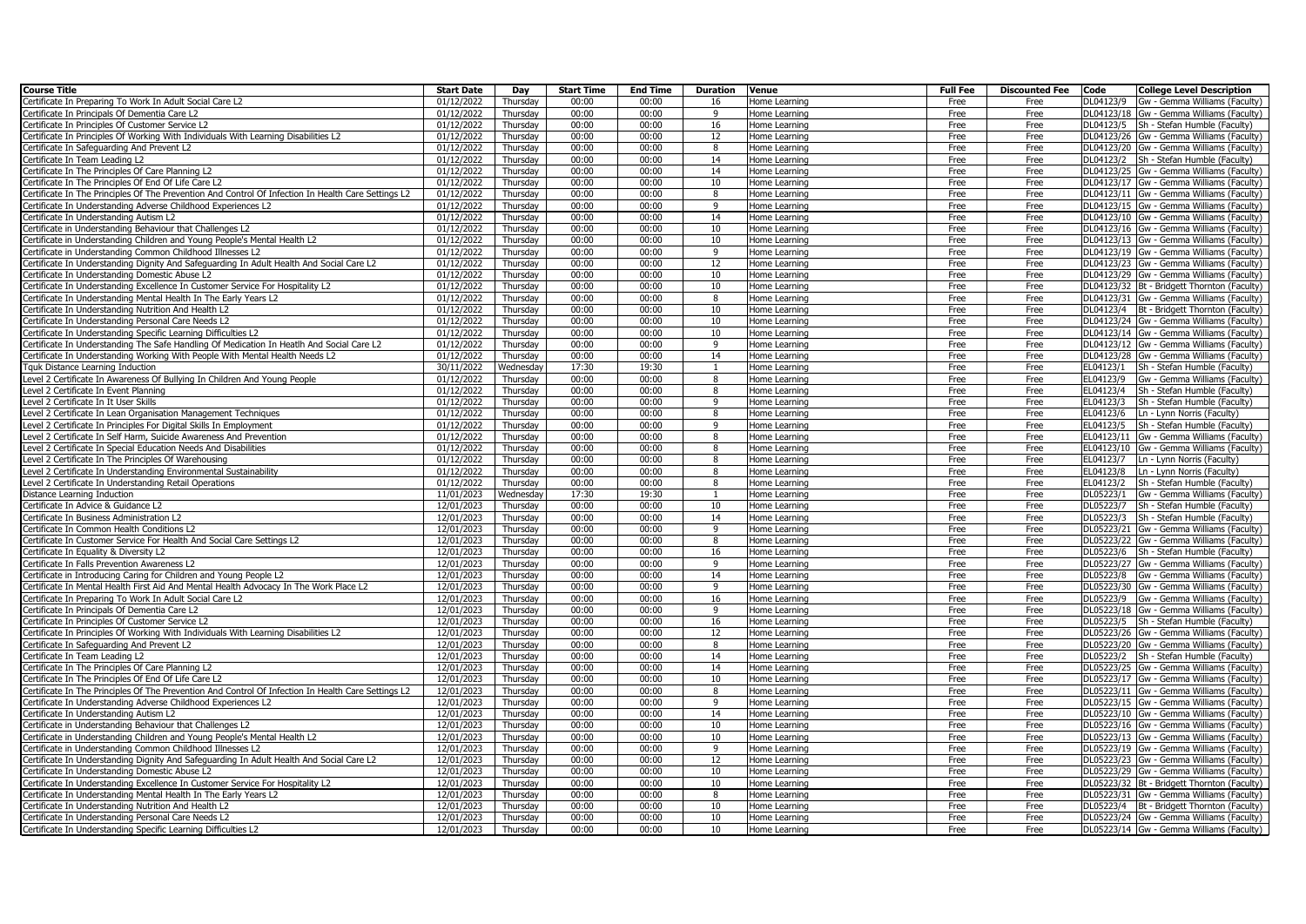| <b>Course Title</b>                                                                                 | <b>Start Date</b> | Day       | <b>Start Time</b> | <b>End Time</b> | <b>Duration</b> | Venue         | <b>Full Fee</b> | <b>Discounted Fee</b> | Code      | <b>College Level Description</b>             |
|-----------------------------------------------------------------------------------------------------|-------------------|-----------|-------------------|-----------------|-----------------|---------------|-----------------|-----------------------|-----------|----------------------------------------------|
| Certificate In Preparing To Work In Adult Social Care L2                                            | 01/12/2022        | Thursday  | 00:00             | 00:00           | 16              | Home Learning | Free            | Free                  | DL04123/9 | Gw - Gemma Williams (Faculty)                |
| Certificate In Principals Of Dementia Care L2                                                       | 01/12/2022        | Thursday  | 00:00             | 00:00           | 9               | Home Learning | Free            | Free                  |           | DL04123/18 Gw - Gemma Williams (Faculty)     |
| ertificate In Principles Of Customer Service L2                                                     | 01/12/2022        | Thursdav  | 00:00             | 00:00           | 16              | Home Learning | Free            | Free                  |           | DL04123/5 Sh - Stefan Humble (Faculty)       |
| Certificate In Principles Of Working With Individuals With Learning Disabilities L2                 | 01/12/2022        | Thursday  | 00:00             | 00:00           | 12              | Home Learning | Free            | Free                  |           | DL04123/26 Gw - Gemma Williams (Faculty)     |
| Certificate In Safeguarding And Prevent L2                                                          | 01/12/2022        | Thursdav  | 00:00             | 00:00           | 8               | Home Learning | Free            | Free                  |           | DL04123/20 Gw - Gemma Williams (Faculty)     |
| Certificate In Team Leading L2                                                                      | 01/12/2022        | Thursday  | 00:00             | 00:00           | 14              | Home Learning | Free            | Free                  |           | DL04123/2   Sh - Stefan Humble (Faculty)     |
| Certificate In The Principles Of Care Planning L2                                                   | 01/12/2022        | Thursday  | 00:00             | 00:00           | 14              | Home Learning | Free            | Free                  |           | DL04123/25 Gw - Gemma Williams (Faculty)     |
| ertificate In The Principles Of End Of Life Care L2                                                 | 01/12/2022        | Thursday  | 00:00             | 00:00           | 10              | Home Learning | Free            | Free                  |           | DL04123/17 Gw - Gemma Williams (Faculty)     |
| ertificate In The Principles Of The Prevention And Control Of Infection In Health Care Settings L2  | 01/12/2022        | Thursday  | 00:00             | 00:00           | 8               | Home Learning | Free            | Free                  |           | DL04123/11 Gw - Gemma Williams (Faculty)     |
| ertificate In Understanding Adverse Childhood Experiences L2                                        | 01/12/2022        | Thursday  | 00:00             | 00:00           | 9               | Home Learning | Free            | Free                  |           | DL04123/15 Gw - Gemma Williams (Faculty)     |
| ertificate In Understanding Autism L2                                                               | 01/12/2022        | Thursday  | 00:00             | 00:00           | 14              | Home Learning | Free            | Free                  |           | DL04123/10 Gw - Gemma Williams (Faculty)     |
| Certificate in Understanding Behaviour that Challenges L2                                           | 01/12/2022        | Thursday  | 00:00             | 00:00           | 10              | Home Learning | Free            | Free                  |           | DL04123/16 Gw - Gemma Williams (Faculty)     |
| ertificate in Understanding Children and Young People's Mental Health L2                            | 01/12/2022        | Thursday  | 00:00             | 00:00           | 10              | Home Learning | Free            | Free                  |           | DL04123/13 Gw - Gemma Williams (Faculty)     |
| Certificate in Understanding Common Childhood Illnesses L2                                          | 01/12/2022        | Thursday  | 00:00             | 00:00           | 9               | Home Learning | Free            | Free                  |           | DL04123/19 Gw - Gemma Williams (Faculty)     |
| Certificate In Understanding Dignity And Safeguarding In Adult Health And Social Care L2            | 01/12/2022        | Thursdav  | 00:00             | 00:00           | 12              | Home Learning | Free            | Free                  |           | DL04123/23 Gw - Gemma Williams (Faculty)     |
| ertificate In Understanding Domestic Abuse L2                                                       | 01/12/2022        | Thursday  | 00:00             | 00:00           | 10              | Home Learning | Free            | Free                  |           | DL04123/29 Gw - Gemma Williams (Faculty)     |
| Certificate In Understanding Excellence In Customer Service For Hospitality L2                      | 01/12/2022        | Thursday  | 00:00             | 00:00           | 10              | Home Learning | Free            | Free                  |           | DL04123/32 Bt - Bridgett Thornton (Faculty)  |
| ertificate In Understanding Mental Health In The Early Years L2                                     | 01/12/2022        | Thursday  | 00:00             | 00:00           | 8               | Home Learning | Free            | Free                  |           | DL04123/31 Gw - Gemma Williams (Faculty)     |
| Certificate In Understanding Nutrition And Health L2                                                | 01/12/2022        | Thursday  | 00:00             | 00:00           | 10              | Home Learning | Free            | Free                  |           | DL04123/4 Bt - Bridgett Thornton (Faculty)   |
| Certificate In Understanding Personal Care Needs L2                                                 | 01/12/2022        | Thursdav  | 00:00             | 00:00           | 10              | Home Learning | Free            | Free                  |           | DL04123/24 Gw - Gemma Williams (Faculty)     |
| ertificate In Understanding Specific Learning Difficulties L2                                       | 01/12/2022        | Thursday  | 00:00             | 00:00           | 10              | Home Learning | Free            | Free                  |           | DL04123/14 Gw - Gemma Williams (Faculty)     |
| Certificate In Understanding The Safe Handling Of Medication In Heatlh And Social Care L2           | 01/12/2022        | Thursday  | 00:00             | 00:00           | 9               | Home Learning | Free            | Free                  |           | DL04123/12 Gw - Gemma Williams (Faculty)     |
| ertificate In Understanding Working With People With Mental Health Needs L2                         | 01/12/2022        | Thursday  | 00:00             | 00:00           | 14              | Home Learning | Free            | Free                  |           | DL04123/28 Gw - Gemma Williams (Faculty)     |
| Tquk Distance Learning Induction                                                                    | 30/11/2022        | Wednesday | 17:30             | 19:30           |                 | Home Learning | Free            | Free                  |           | EL04123/1 Sh - Stefan Humble (Faculty)       |
| Level 2 Certificate In Awareness Of Bullying In Children And Young People                           | 01/12/2022        | Thursday  | 00:00             | 00:00           | 8               | Home Learning | Free            | Free                  | EL04123/9 | Gw - Gemma Williams (Faculty)                |
| Level 2 Certificate In Event Planning                                                               | 01/12/2022        | Thursday  | 00:00             | 00:00           | 8               | Home Learning | Free            | Free                  |           | EL04123/4 Sh - Stefan Humble (Faculty)       |
| Level 2 Certificate In It User Skills                                                               | 01/12/2022        | Thursday  | 00:00             | 00:00           | 9               | Home Learning | Free            | Free                  | EL04123/3 | Sh - Stefan Humble (Faculty)                 |
| evel 2 Certificate In Lean Organisation Management Techniques                                       | 01/12/2022        | Thursday  | 00:00             | 00:00           | 8               | Home Learning | Free            | Free                  |           | EL04123/6   Ln - Lynn Norris (Faculty)       |
| Level 2 Certificate In Principles For Digital Skills In Employment                                  | 01/12/2022        | Thursday  | 00:00             | 00:00           | 9               | Home Learning | Free            | Free                  |           | EL04123/5 Sh - Stefan Humble (Faculty)       |
| Level 2 Certificate In Self Harm, Suicide Awareness And Prevention                                  | 01/12/2022        | Thursdav  | 00:00             | 00:00           | 8               | Home Learning | Free            | Free                  |           | EL04123/11 Gw - Gemma Williams (Faculty)     |
| Level 2 Certificate In Special Education Needs And Disabilities                                     | 01/12/2022        | Thursday  | 00:00             | 00:00           | 8               | Home Learning | Free            | Free                  |           | EL04123/10 Gw - Gemma Williams (Faculty)     |
| Level 2 Certificate In The Principles Of Warehousing                                                | 01/12/2022        | Thursdav  | 00:00             | 00:00           | 8               | Home Learning | Free            | Free                  |           | EL04123/7   Ln - Lynn Norris (Faculty)       |
| Level 2 Certificate In Understanding Environmental Sustainability                                   | 01/12/2022        | Thursday  | 00:00             | 00:00           | 8               | Home Learning | Free            | Free                  | EL04123/8 | Ln - Lynn Norris (Faculty)                   |
| Level 2 Certificate In Understanding Retail Operations                                              | 01/12/2022        | Thursday  | 00:00             | 00:00           | 8               | Home Learning | Free            | Free                  | EL04123/2 | Sh - Stefan Humble (Faculty)                 |
| istance Learning Induction                                                                          | 11/01/2023        | Wednesday | 17:30             | 19:30           |                 | Home Learning | Free            | Free                  | DL05223/1 | Gw - Gemma Williams (Faculty)                |
| ertificate In Advice & Guidance L2                                                                  | 12/01/2023        | Thursday  | 00:00             | 00:00           | 10              | Home Learning | Free            | Free                  | DL05223/7 | Sh - Stefan Humble (Faculty)                 |
| Certificate In Business Administration L2                                                           | 12/01/2023        | Thursday  | 00:00             | 00:00           | 14              | Home Learning | Free            | Free                  | DL05223/3 | Sh - Stefan Humble (Faculty)                 |
| ertificate In Common Health Conditions L2                                                           | 12/01/2023        | Thursday  | 00:00             | 00:00           | 9               | Home Learning | Free            | Free                  |           | DL05223/21 Gw - Gemma Williams (Faculty)     |
| Certificate In Customer Service For Health And Social Care Settings L2                              | 12/01/2023        | Thursday  | 00:00             | 00:00           | 8               | Home Learning | Free            | Free                  |           | DL05223/22 Gw - Gemma Williams (Faculty)     |
| Certificate In Equality & Diversity L2                                                              | 12/01/2023        | Thursday  | 00:00             | 00:00           | 16              | Home Learning | Free            | Free                  |           | DL05223/6 Sh - Stefan Humble (Faculty)       |
| ertificate In Falls Prevention Awareness L2                                                         | 12/01/2023        | Thursday  | 00:00             | 00:00           | 9               | Home Learning | Free            | Free                  |           | DL05223/27 Gw - Gemma Williams (Faculty)     |
| Certificate in Introducing Caring for Children and Young People L2                                  | 12/01/2023        | Thursday  | 00:00             | 00:00           | 14              | Home Learning | Free            | Free                  |           | DL05223/8 Gw - Gemma Williams (Faculty)      |
| ertificate In Mental Health First Aid And Mental Health Advocacy In The Work Place L2               | 12/01/2023        | Thursday  | 00:00             | 00:00           | 9               | Home Learning | Free            | Free                  |           | DL05223/30 Gw - Gemma Williams (Faculty)     |
| Certificate In Preparing To Work In Adult Social Care L2                                            | 12/01/2023        | Thursday  | 00:00             | 00:00           | 16              | Home Learning | Free            | Free                  |           | DL05223/9 Gw - Gemma Williams (Faculty)      |
| Certificate In Principals Of Dementia Care L2                                                       | 12/01/2023        | Thursday  | 00:00             | 00:00           | 9               | Home Learning | Free            | Free                  |           | DL05223/18 Gw - Gemma Williams (Faculty)     |
| Certificate In Principles Of Customer Service L2                                                    | 12/01/2023        | Thursday  | 00:00             | 00:00           | 16              | Home Learning | Free            | Free                  |           | DL05223/5 Sh - Stefan Humble (Faculty)       |
| Certificate In Principles Of Working With Individuals With Learning Disabilities L2                 | 12/01/2023        | Thursdav  | 00:00             | 00:00           | 12              | Home Learning | Free            | Free                  |           | DL05223/26 Gw - Gemma Williams (Faculty)     |
| ertificate In Safeguarding And Prevent L2                                                           | 12/01/2023        | Thursday  | 00:00             | 00:00           | 8               | Home Learning | Free            | Free                  |           | DL05223/20 Gw - Gemma Williams (Faculty)     |
| Certificate In Team Leading L2                                                                      | 12/01/2023        | Thursday  | 00:00             | 00:00           | 14              | Home Learning | Free            | Free                  |           | DL05223/2 Sh - Stefan Humble (Faculty)       |
| Certificate In The Principles Of Care Planning L2                                                   | 12/01/2023        | Thursday  | 00:00             | 00:00           | 14              | Home Learning | Free            | Free                  |           | DL05223/25 Gw - Gemma Williams (Faculty)     |
| ertificate In The Principles Of End Of Life Care L2                                                 | 12/01/2023        | Thursday  | 00:00             | 00:00           | 10              | Home Learning | Free            | Free                  |           | DL05223/17 Gw - Gemma Williams (Faculty)     |
| Certificate In The Principles Of The Prevention And Control Of Infection In Health Care Settings L2 | 12/01/2023        | Thursday  | 00:00             | 00:00           | 8               | Home Learning | Free            | Free                  |           | DL05223/11 Gw - Gemma Williams (Faculty)     |
| ertificate In Understanding Adverse Childhood Experiences L2                                        | 12/01/2023        | Thursday  | 00:00             | 00:00           | 9               | Home Learning | Free            | Free                  |           | DL05223/15 Gw - Gemma Williams (Faculty)     |
| Certificate In Understanding Autism L2                                                              | 12/01/2023        | Thursday  | 00:00             | 00:00           | 14              | Home Learning | Free            | Free                  |           | DL05223/10 Gw - Gemma Williams (Faculty)     |
| Certificate in Understanding Behaviour that Challenges L2                                           | 12/01/2023        | Thursday  | 00:00             | 00:00           | 10              | Home Learning | Free            | Free                  |           | DL05223/16 Gw - Gemma Williams (Faculty)     |
| Certificate in Understanding Children and Young People's Mental Health L2                           | 12/01/2023        | Thursday  | 00:00             | 00:00           | 10              | Home Learning | Free            | Free                  |           | DL05223/13 Gw - Gemma Williams (Faculty)     |
| Certificate in Understanding Common Childhood Illnesses L2                                          | 12/01/2023        | Thursdav  | 00:00             | 00:00           | 9               | Home Learning | Free            | Free                  |           | DL05223/19 Gw - Gemma Williams (Faculty)     |
| ertificate In Understanding Dignity And Safeguarding In Adult Health And Social Care L2             | 12/01/2023        | Thursday  | 00:00             | 00:00           | 12              | Home Learning | Free            | Free                  |           | DL05223/23 Gw - Gemma Williams (Faculty)     |
| Certificate In Understanding Domestic Abuse L2                                                      | 12/01/2023        | Thursday  | 00:00             | 00:00           | 10              | Home Learning | Free            | Free                  |           | DL05223/29 Gw - Gemma Williams (Faculty)     |
| Certificate In Understanding Excellence In Customer Service For Hospitality L2                      | 12/01/2023        | Thursday  | 00:00             | 00:00           | 10              | Home Learning | Free            | Free                  |           | DL05223/32 Bt - Bridgett Thornton (Faculty)  |
| Certificate In Understanding Mental Health In The Early Years L2                                    | 12/01/2023        | Thursday  | 00:00             | 00:00           | 8               | Home Learning | Free            | Free                  |           | DL05223/31 Gw - Gemma Williams (Faculty)     |
| ertificate In Understanding Nutrition And Health L2                                                 | 12/01/2023        | Thursday  | 00:00             | 00:00           | 10              | Home Learning | Free            | Free                  |           | DL05223/4   Bt - Bridgett Thornton (Faculty) |
| ertificate In Understanding Personal Care Needs L2                                                  | 12/01/2023        | Thursday  | 00:00             | 00:00           | 10              | Home Learning | Free            | Free                  |           | DL05223/24 Gw - Gemma Williams (Faculty)     |
| Certificate In Understanding Specific Learning Difficulties L2                                      | 12/01/2023        | Thursday  | 00:00             | 00:00           | 10              | Home Learning | Free            | Free                  |           | DL05223/14 Gw - Gemma Williams (Faculty)     |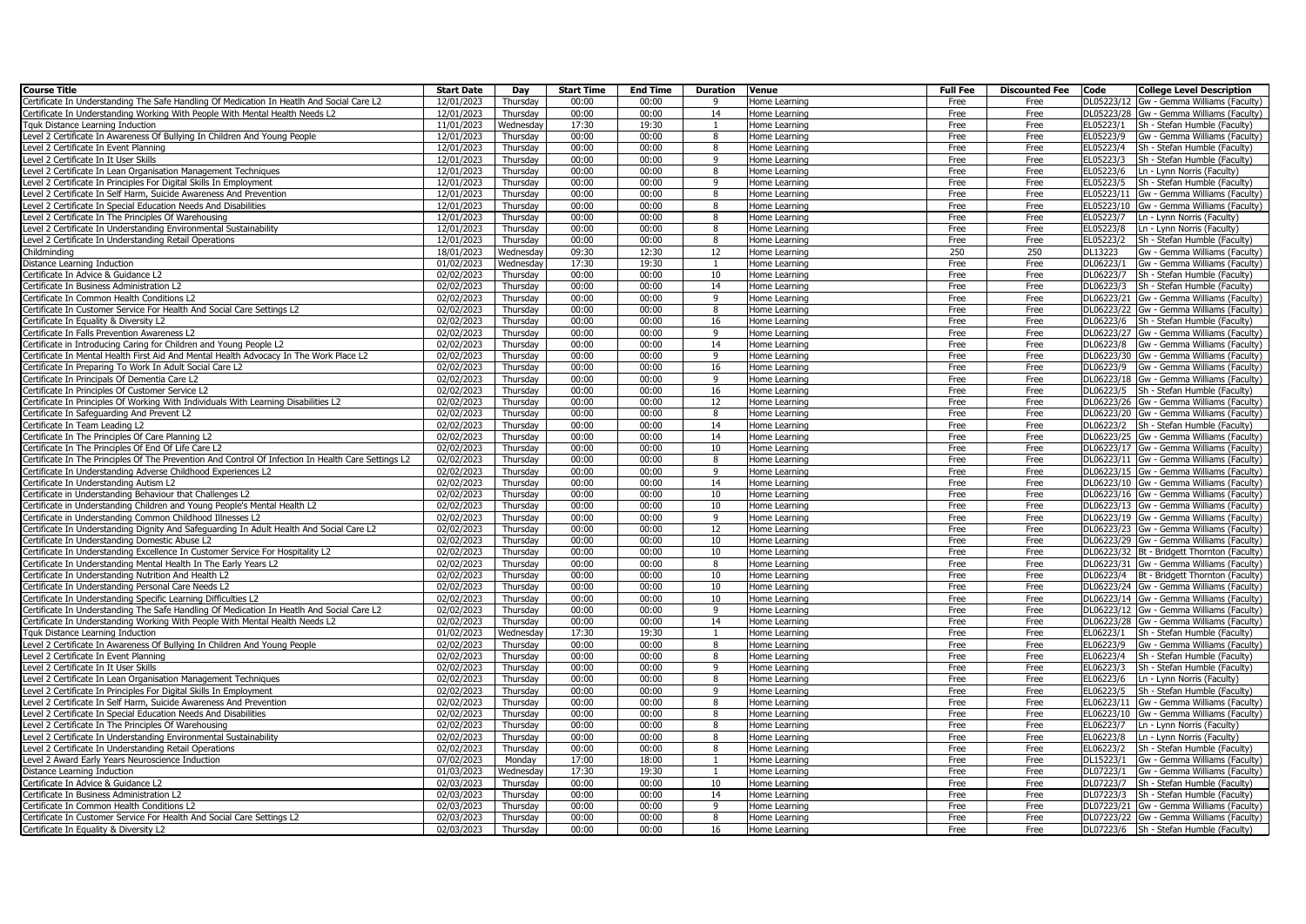| <b>Course Title</b>                                                                                 | <b>Start Date</b>        | Day                  | <b>Start Time</b> | <b>End Time</b> | <b>Duration</b> | Venue                          | <b>Full Fee</b> | <b>Discounted Fee</b> | Code<br><b>College Level Description</b>                                           |
|-----------------------------------------------------------------------------------------------------|--------------------------|----------------------|-------------------|-----------------|-----------------|--------------------------------|-----------------|-----------------------|------------------------------------------------------------------------------------|
| Certificate In Understanding The Safe Handling Of Medication In Heatlh And Social Care L2           | 12/01/2023               | Thursday             | 00:00             | 00:00           | $\alpha$        | Home Learning                  | Free            | Free                  | DL05223/12 Gw - Gemma Williams (Faculty)                                           |
| Certificate In Understanding Working With People With Mental Health Needs L2                        | 12/01/2023               | Thursday             | 00:00             | 00:00           | 14              | Home Learning                  | Free            | Free                  | DL05223/28 Gw - Gemma Williams (Faculty)                                           |
| Tauk Distance Learning Induction                                                                    | 11/01/2023               | Wednesday            | 17:30             | 19:30           | -1              | Home Learning                  | Free            | Free                  | EL05223/1<br>Sh - Stefan Humble (Faculty)                                          |
| Level 2 Certificate In Awareness Of Bullying In Children And Young People                           | 12/01/2023               | Thursday             | 00:00             | 00:00           | 8               | Home Learning                  | Free            | Free                  | EL05223/9<br>Gw - Gemma Williams (Faculty)                                         |
| Level 2 Certificate In Event Planning                                                               | $\overline{12}/01/2023$  | Thursdav             | 00:00             | 00:00           | 8               | Home Learning                  | Free            | Free                  | EL05223/4<br>Sh - Stefan Humble (Faculty)                                          |
| Level 2 Certificate In It User Skills                                                               | 12/01/2023               | Thursday             | 00:00             | 00:00           | $\mathbf{q}$    | Home Learning                  | Free            | Free                  | EL05223/3<br>Sh - Stefan Humble (Faculty)                                          |
| Level 2 Certificate In Lean Organisation Management Techniques                                      | 12/01/2023               | Thursday             | 00:00             | 00:00           | $\mathbf{R}$    | Home Learning                  | Free            | Free                  | EL05223/6<br>Ln - Lynn Norris (Faculty)                                            |
| Level 2 Certificate In Principles For Digital Skills In Employment                                  | 12/01/2023               | Thursday             | 00:00             | 00:00           | 9               | Home Learning                  | Free            | Free                  | EL05223/5<br>Sh - Stefan Humble (Faculty)                                          |
| Level 2 Certificate In Self Harm, Suicide Awareness And Prevention                                  | 12/01/2023               | Thursday             | 00:00             | 00:00           | 8               | Home Learning                  | Free            | Free                  | EL05223/11 Gw - Gemma Williams (Faculty)                                           |
| Level 2 Certificate In Special Education Needs And Disabilities                                     | 12/01/2023               | Thursday             | 00:00             | 00:00           | 8               | Home Learning                  | Free            | Free                  | EL05223/10 Gw - Gemma Williams (Faculty)                                           |
| Level 2 Certificate In The Principles Of Warehousing                                                | 12/01/2023               | Thursday             | 00:00             | 00:00           | 8               | Home Learning                  | Free            | Free                  | EL05223/7<br>Ln - Lynn Norris (Faculty)                                            |
| Level 2 Certificate In Understanding Environmental Sustainability                                   | 12/01/2023               | Thursday             | 00:00             | 00:00           | 8               | Home Learning                  | Free            | Free                  | EL05223/8<br>Ln - Lynn Norris (Faculty)                                            |
| Level 2 Certificate In Understanding Retail Operations                                              | 12/01/2023               | Thursday             | 00:00             | 00:00           | 8               | Home Learnino                  | Free            | Free                  | EL05223/2<br>Sh - Stefan Humble (Faculty)                                          |
| Childminding                                                                                        | 18/01/2023               | Wednesday            | 09:30             | 12:30           | 12              | Home Learning                  | 250             | 250                   | DL13223<br>Gw - Gemma Williams (Faculty)                                           |
| Distance Learning Induction                                                                         | 01/02/2023               | Wednesdav            | 17:30             | 19:30           | $\overline{1}$  | Home Learning                  | Free            | Free                  | DL06223/1<br>Gw - Gemma Williams (Faculty)                                         |
| Certificate In Advice & Guidance L2                                                                 | 02/02/2023               | Thursday             | 00:00             | 00:00           | 10              | Home Learning                  | Free            | Free                  | DL06223/7<br>Sh - Stefan Humble (Faculty)                                          |
| Certificate In Business Administration L2                                                           | 02/02/2023               | Thursday             | 00:00             | 00:00           | 14              | Home Learning                  | Free            | Free                  | DL06223/3<br>Sh - Stefan Humble (Faculty)                                          |
| Certificate In Common Health Conditions L2                                                          | 02/02/2023               | Thursday             | 00:00             | 00:00           | $\alpha$        | Home Learning                  | Free            | Free                  | DL06223/21 Gw - Gemma Williams (Faculty)                                           |
| Certificate In Customer Service For Health And Social Care Settings L2                              | 02/02/2023               | Thursday             | 00:00             | 00:00           | $\mathbf{R}$    | Home Learning                  | Free            | Free                  | DL06223/22 Gw - Gemma Williams (Faculty)                                           |
| Certificate In Equality & Diversity L2                                                              | 02/02/2023               | Thursday             | 00:00             | 00:00           | 16              | Home Learnino                  | Free            | Free                  | DL06223/6 Sh - Stefan Humble (Faculty)                                             |
| Certificate In Falls Prevention Awareness L2                                                        | 02/02/2023               | Thursday             | 00:00             | 00:00           | $\mathsf{q}$    | Home Learning                  | Free            | Free                  | DL06223/27 Gw - Gemma Williams (Faculty)                                           |
| Certificate in Introducing Caring for Children and Young People L2                                  | 02/02/2023               | Thursday             | 00:00             | 00:00           | 14              | Home Learning                  | Free            | Free                  | DL06223/8 Gw - Gemma Williams (Faculty)                                            |
| Certificate In Mental Health First Aid And Mental Health Advocacy In The Work Place L2              | 02/02/2023               | Thursday             | 00:00             | 00:00           | 9               | Home Learning                  | Free            | Free                  | DL06223/30 Gw - Gemma Williams (Faculty)                                           |
| Certificate In Preparing To Work In Adult Social Care L2                                            | 02/02/2023               | Thursday             | 00:00             | 00:00           | 16              | Home Learning                  | Free            | Free                  | DL06223/9<br>Gw - Gemma Williams (Faculty)                                         |
| Certificate In Principals Of Dementia Care L2                                                       | 02/02/2023               | Thursday             | 00:00             | 00:00<br>00:00  | 9               | Home Learning                  | Free            | Free                  | DL06223/18 Gw - Gemma Williams (Faculty)                                           |
| Certificate In Principles Of Customer Service L2                                                    | 02/02/2023               | Thursday             | 00:00<br>00:00    | 00:00           | 16<br>12        | Home Learnino                  | Free            | Free                  | DL06223/5 Sh - Stefan Humble (Faculty)                                             |
| Certificate In Principles Of Working With Individuals With Learning Disabilities L2                 | 02/02/2023               | Thursday             | 00:00             | 00:00           |                 | Home Learning                  | Free            | Free                  | DL06223/26 Gw - Gemma Williams (Faculty)                                           |
| Certificate In Safeguarding And Prevent L2                                                          | 02/02/2023               | Thursday             | 00:00             | 00:00           | 8<br>14         | Home Learning                  | Free<br>Free    | Free                  | DL06223/20 Gw - Gemma Williams (Faculty)<br>DL06223/2 Sh - Stefan Humble (Faculty) |
| Certificate In Team Leading L2<br>Certificate In The Principles Of Care Planning L2                 | 02/02/2023<br>02/02/2023 | Thursday             | 00:00             | 00:00           | 14              | Home Learning                  |                 | Free                  | DL06223/25 Gw - Gemma Williams (Faculty)                                           |
| Certificate In The Principles Of End Of Life Care L2                                                | 02/02/2023               | Thursday<br>Thursday | 00:00             | 00:00           | 10              | Home Learning                  | Free<br>Free    | Free<br>Free          | DL06223/17 Gw - Gemma Williams (Faculty)                                           |
| Certificate In The Principles Of The Prevention And Control Of Infection In Health Care Settings L2 | 02/02/2023               | Thursdav             | 00:00             | 00:00           | 8               | Home Learning<br>Home Learning | Free            | Free                  | DL06223/11 Gw - Gemma Williams (Faculty)                                           |
| Certificate In Understanding Adverse Childhood Experiences L2                                       | 02/02/2023               | Thursday             | 00:00             | 00:00           | 9               | Home Learning                  | Free            | Free                  | DL06223/15 Gw - Gemma Williams (Faculty)                                           |
| Certificate In Understanding Autism L2                                                              | 02/02/2023               | Thursday             | 00:00             | 00:00           | 14              | Home Learning                  | Free            | Free                  | DL06223/10 Gw - Gemma Williams (Faculty)                                           |
| Certificate in Understanding Behaviour that Challenges L2                                           | 02/02/2023               | Thursday             | 00:00             | 00:00           | 10              | Home Learning                  | Free            | Free                  | DL06223/16 Gw - Gemma Williams (Faculty)                                           |
| Certificate in Understanding Children and Young People's Mental Health L2                           | 02/02/2023               | Thursday             | 00:00             | 00:00           | 10              | Home Learning                  | Free            | Free                  | DL06223/13 Gw - Gemma Williams (Faculty)                                           |
| Certificate in Understanding Common Childhood Illnesses L2                                          | 02/02/2023               | Thursday             | 00:00             | 00:00           | 9               | Home Learning                  | Free            | Free                  | DL06223/19 Gw - Gemma Williams (Faculty)                                           |
| Certificate In Understanding Dignity And Safeguarding In Adult Health And Social Care L2            | 02/02/2023               | Thursday             | 00:00             | 00:00           | 12              | Home Learning                  | Free            | Free                  | DL06223/23 Gw - Gemma Williams (Faculty)                                           |
| Certificate In Understanding Domestic Abuse L2                                                      | 02/02/2023               | Thursday             | 00:00             | 00:00           | 10              | Home Learning                  | Free            | Free                  | DL06223/29 Gw - Gemma Williams (Faculty)                                           |
| Certificate In Understanding Excellence In Customer Service For Hospitality L2                      | 02/02/2023               | Thursday             | 00:00             | 00:00           | 10              | Home Learning                  | Free            | Free                  | DL06223/32 Bt - Bridgett Thornton (Faculty)                                        |
| Certificate In Understanding Mental Health In The Early Years L2                                    | 02/02/2023               | Thursday             | 00:00             | 00:00           | 8               | Home Learning                  | Free            | Free                  | DL06223/31 Gw - Gemma Williams (Faculty)                                           |
| Certificate In Understanding Nutrition And Health L2                                                | 02/02/2023               | Thursday             | 00:00             | 00:00           | 10              | Home Learning                  | Free            | Free                  | DL06223/4   Bt - Bridgett Thornton (Faculty)                                       |
| Certificate In Understanding Personal Care Needs L2                                                 | 02/02/2023               | Thursday             | 00:00             | 00:00           | 10              | Home Learnino                  | Free            | Free                  | DL06223/24 Gw - Gemma Williams (Faculty)                                           |
| Certificate In Understanding Specific Learning Difficulties L2                                      | 02/02/2023               | Thursday             | 00:00             | 00:00           | 10              | Home Learning                  | Free            | Free                  | DL06223/14 Gw - Gemma Williams (Faculty)                                           |
| Certificate In Understanding The Safe Handling Of Medication In Heatlh And Social Care L2           | 02/02/2023               | Thursday             | 00:00             | 00:00           | $\mathbf{q}$    | Home Learning                  | Free            | Free                  | DL06223/12 Gw - Gemma Williams (Faculty)                                           |
| Certificate In Understanding Working With People With Mental Health Needs L2                        | 02/02/2023               | Thursday             | 00:00             | 00:00           | 14              | Home Learning                  | Free            | Free                  | DL06223/28 Gw - Gemma Williams (Faculty)                                           |
| Tquk Distance Learning Induction                                                                    | 01/02/2023               | Wednesday            | 17:30             | 19:30           | -1              | Home Learning                  | Free            | Free                  | EL06223/1<br>Sh - Stefan Humble (Faculty)                                          |
| Level 2 Certificate In Awareness Of Bullying In Children And Young People                           | 02/02/2023               | Thursday             | 00:00             | 00:00           | $\mathbf{R}$    | Home Learning                  | Free            | Free                  | EL06223/9<br>Gw - Gemma Williams (Faculty)                                         |
| Level 2 Certificate In Event Planning                                                               | 02/02/2023               | Thursday             | 00:00             | 00:00           | 8               | Home Learning                  | Free            | Free                  | EL06223/4<br>Sh - Stefan Humble (Faculty)                                          |
| Level 2 Certificate In It User Skills                                                               | 02/02/2023               | Thursday             | 00:00             | 00:00           | 9               | Home Learning                  | Free            | Free                  | EL06223/3<br>Sh - Stefan Humble (Faculty)                                          |
| Level 2 Certificate In Lean Organisation Management Techniques                                      | 02/02/2023               | Thursday             | 00:00             | 00:00           | 8               | Home Learning                  | Free            | Free                  | EL06223/6<br>Ln - Lynn Norris (Faculty)                                            |
| Level 2 Certificate In Principles For Digital Skills In Employment                                  | 02/02/2023               | Thursday             | 00:00             | 00:00           | $\mathbf{q}$    | Home Learning                  | Free            | Free                  | EL06223/5<br>Sh - Stefan Humble (Faculty)                                          |
| Level 2 Certificate In Self Harm, Suicide Awareness And Prevention                                  | $\sqrt{02}/02/2023$      | Thursday             | 00:00             | 00:00           | 8               | Home Learnino                  | Free            | Free                  | EL06223/11 Gw - Gemma Williams (Faculty)                                           |
| Level 2 Certificate In Special Education Needs And Disabilities                                     | 02/02/2023               | Thursday             | 00:00             | 00:00           | 8               | Home Learning                  | Free            | Free                  | EL06223/10 Gw - Gemma Williams (Faculty)                                           |
| Level 2 Certificate In The Principles Of Warehousing                                                | 02/02/2023               | Thursday             | 00:00             | 00:00           | 8               | Home Learning                  | Free            | Free                  | EL06223/7<br>Ln - Lynn Norris (Faculty)                                            |
| Level 2 Certificate In Understanding Environmental Sustainability                                   | 02/02/2023               | Thursday             | 00:00             | 00:00           | 8               | Home Learning                  | Free            | Free                  | EL06223/8<br>Ln - Lynn Norris (Faculty)                                            |
| Level 2 Certificate In Understanding Retail Operations                                              | 02/02/2023               | Thursday             | 00:00             | 00:00           | 8               | Home Learning                  | Free            | Free                  | EL06223/2<br>Sh - Stefan Humble (Faculty)                                          |
| Level 2 Award Early Years Neuroscience Induction                                                    | 07/02/2023               | Monday               | 17:00             | 18:00           | $\mathbf{1}$    | Home Learning                  | Free            | Free                  | DL15223/1<br>Gw - Gemma Williams (Faculty)                                         |
| Distance Learning Induction                                                                         | 01/03/2023               | Wednesday            | 17:30             | 19:30           | $\mathbf{1}$    | Home Learning                  | Free            | Free                  | DL07223/1<br>Gw - Gemma Williams (Faculty)                                         |
| Certificate In Advice & Guidance L2                                                                 | 02/03/2023               | Thursday             | 00:00             | 00:00           | 10              | Home Learning                  | Free            | Free                  | Sh - Stefan Humble (Faculty)<br>DL07223/7                                          |
| Certificate In Business Administration L2                                                           | 02/03/2023               | Thursday             | 00:00             | 00:00           | 14              | Home Learning                  | Free            | Free                  | DL07223/3<br>Sh - Stefan Humble (Faculty)                                          |
| Certificate In Common Health Conditions L2                                                          | 02/03/2023               | Thursday             | 00:00             | 00:00           | $\mathbf{q}$    | Home Learning                  | Free            | Free                  | DL07223/21 Gw - Gemma Williams (Faculty)                                           |
| Certificate In Customer Service For Health And Social Care Settings L2                              | 02/03/2023               | Thursday             | 00:00             | 00:00           | $\mathbf{R}$    | Home Learning                  | Free            | Free                  | DL07223/22 Gw - Gemma Williams (Faculty)                                           |
| Certificate In Equality & Diversity L2                                                              | 02/03/2023               | Thursdav             | 00:00             | 00:00           | 16              | Home Learning                  | Free            | Free                  | DL07223/6 Sh - Stefan Humble (Faculty)                                             |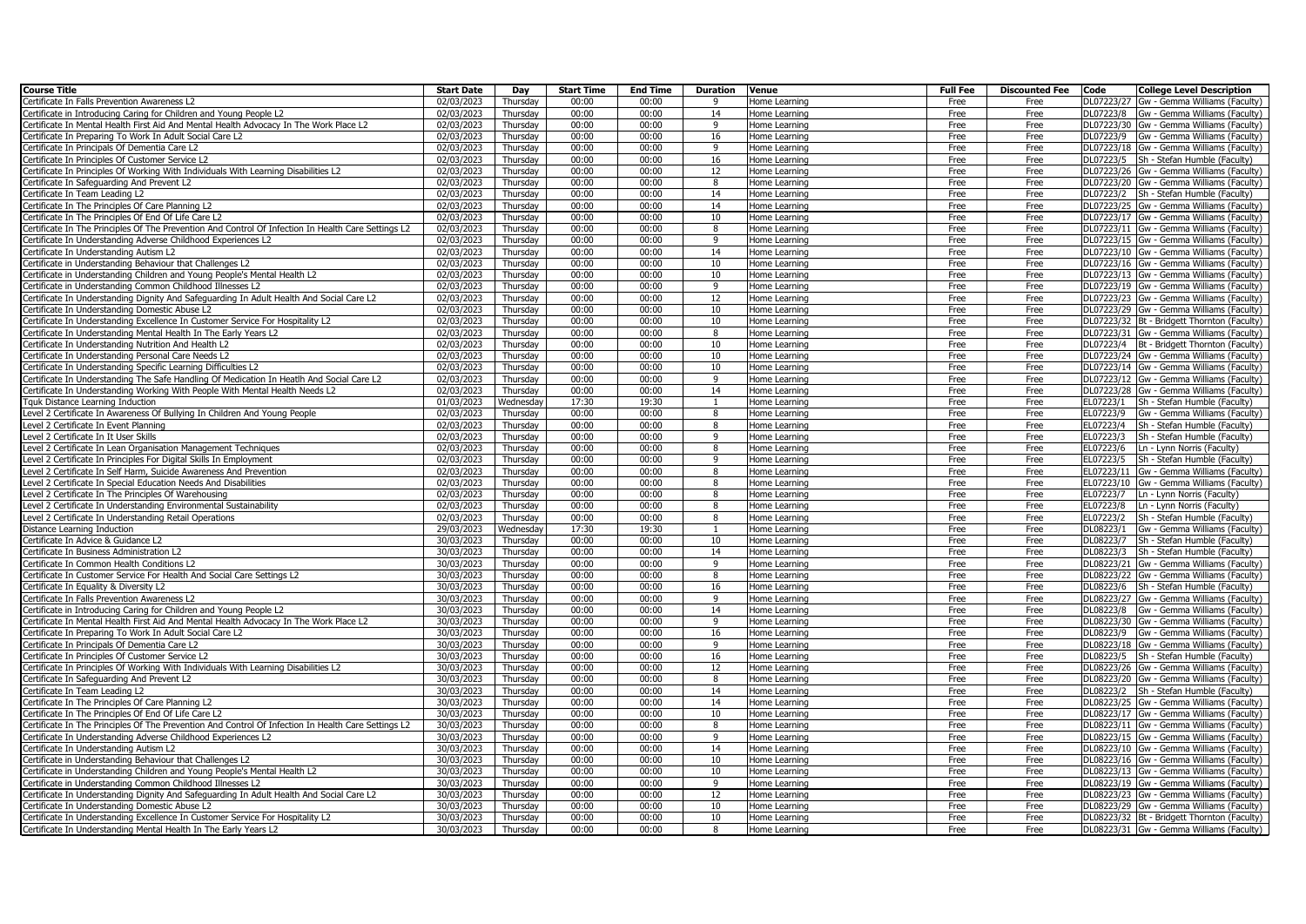| <b>Course Title</b>                                                                                                                                         | <b>Start Date</b>        | Day                  | <b>Start Time</b> | <b>End Time</b> | <b>Duration</b> | Venue                          | <b>Full Fee</b> | <b>Discounted Fee</b> | Code       | <b>College Level Description</b>                                                         |
|-------------------------------------------------------------------------------------------------------------------------------------------------------------|--------------------------|----------------------|-------------------|-----------------|-----------------|--------------------------------|-----------------|-----------------------|------------|------------------------------------------------------------------------------------------|
| Certificate In Falls Prevention Awareness L2                                                                                                                | 02/03/2023               | Thursday             | 00:00             | 00:00           | 9               | Home Learning                  | Free            | Free                  | DL07223/27 | Gw - Gemma Williams (Faculty)                                                            |
| Certificate in Introducing Caring for Children and Young People L2                                                                                          | 02/03/2023               | Thursday             | 00:00             | 00:00           | 14              | Home Learning                  | Free            | Free                  |            | DL07223/8 Gw - Gemma Williams (Faculty)                                                  |
| ertificate In Mental Health First Aid And Mental Health Advocacy In The Work Place L2                                                                       | 02/03/2023               | Thursdav             | 00:00             | 00:00           | 9               | Home Learning                  | Free            | Free                  |            | DL07223/30 Gw - Gemma Williams (Faculty)                                                 |
| Certificate In Preparing To Work In Adult Social Care L2                                                                                                    | 02/03/2023               | Thursday             | 00:00             | 00:00           | 16              | Home Learning                  | Free            | Free                  |            | DL07223/9 Gw - Gemma Williams (Faculty)                                                  |
| Certificate In Principals Of Dementia Care L2                                                                                                               | 02/03/2023               | Thursdav             | 00:00             | 00:00           | 9               | Home Learning                  | Free            | Free                  |            | DL07223/18 Gw - Gemma Williams (Faculty)                                                 |
| Certificate In Principles Of Customer Service L2                                                                                                            | 02/03/2023               | Thursday             | 00:00             | 00:00           | 16              | Home Learning                  | Free            | Free                  |            | DL07223/5 Sh - Stefan Humble (Faculty)                                                   |
| Certificate In Principles Of Working With Individuals With Learning Disabilities L2                                                                         | 02/03/2023               | Thursday             | 00:00             | 00:00           | 12              | Home Learning                  | Free            | Free                  |            | DL07223/26 Gw - Gemma Williams (Faculty)                                                 |
| ertificate In Safeguarding And Prevent L2                                                                                                                   | 02/03/2023               | Thursday             | 00:00             | 00:00           | 8               | Home Learning                  | Free            | Free                  |            | DL07223/20 Gw - Gemma Williams (Faculty)                                                 |
| ertificate In Team Leading L2                                                                                                                               | 02/03/2023               | Thursday             | 00:00             | 00:00           | 14              | Home Learning                  | Free            | Free                  |            | DL07223/2 Sh - Stefan Humble (Faculty)                                                   |
| ertificate In The Principles Of Care Planning L2                                                                                                            | 02/03/2023               | Thursday             | 00:00             | 00:00           | 14              | Home Learning                  | Free            | Free                  |            | DL07223/25 Gw - Gemma Williams (Faculty)                                                 |
| ertificate In The Principles Of End Of Life Care L2                                                                                                         | 02/03/2023               | Thursday             | 00:00             | 00:00           | 10              | Home Learning                  | Free            | Free                  |            | DL07223/17 Gw - Gemma Williams (Faculty)                                                 |
| Certificate In The Principles Of The Prevention And Control Of Infection In Health Care Settings L2                                                         | 02/03/2023               | Thursday             | 00:00             | 00:00           | 8               | Home Learning                  | Free            | Free                  |            | DL07223/11 Gw - Gemma Williams (Faculty)                                                 |
| ertificate In Understanding Adverse Childhood Experiences L2                                                                                                | 02/03/2023               | Thursday             | 00:00             | 00:00           | 9               | Home Learning                  | Free            | Free                  |            | DL07223/15 Gw - Gemma Williams (Faculty)                                                 |
| Certificate In Understanding Autism L2                                                                                                                      | 02/03/2023               | Thursday             | 00:00             | 00:00           | 14              | Home Learning                  | Free            | Free                  |            | DL07223/10 Gw - Gemma Williams (Faculty)                                                 |
| Certificate in Understanding Behaviour that Challenges L2                                                                                                   | 02/03/2023               | Thursdav             | 00:00             | 00:00           | 10              | Home Learning                  | Free            | Free                  |            | DL07223/16 Gw - Gemma Williams (Faculty)                                                 |
| ertificate in Understanding Children and Young People's Mental Health L2                                                                                    | 02/03/2023               | Thursday             | 00:00             | 00:00           | 10<br>9         | Home Learning                  | Free            | Free                  |            | DL07223/13 Gw - Gemma Williams (Faculty)                                                 |
| Certificate in Understanding Common Childhood Illnesses L2                                                                                                  | 02/03/2023               | Thursday             | 00:00<br>00:00    | 00:00<br>00:00  | 12              | Home Learning                  | Free<br>Free    | Free<br>Free          |            | DL07223/19 Gw - Gemma Williams (Faculty)                                                 |
| ertificate In Understanding Dignity And Safeguarding In Adult Health And Social Care L2                                                                     | 02/03/2023<br>02/03/2023 | Thursday<br>Thursday | 00:00             | 00:00           | 10              | Home Learning                  | Free            |                       |            | DL07223/23 Gw - Gemma Williams (Faculty)<br>DL07223/29 Gw - Gemma Williams (Faculty)     |
| Certificate In Understanding Domestic Abuse L2<br>Certificate In Understanding Excellence In Customer Service For Hospitality L2                            | 02/03/2023               | Thursday             | 00:00             | 00:00           | 10              | Home Learning                  | Free            | Free<br>Free          |            | DL07223/32   Bt - Bridgett Thornton (Faculty)                                            |
| ertificate In Understanding Mental Health In The Early Years L2                                                                                             | 02/03/2023               | Thursday             | 00:00             | 00:00           | 8               | Home Learning                  | Free            | Free                  |            | DL07223/31 Gw - Gemma Williams (Faculty)                                                 |
|                                                                                                                                                             |                          |                      | 00:00             | 00:00           | 10              | Home Learning                  | Free            | Free                  |            |                                                                                          |
| ertificate In Understanding Nutrition And Health L2<br>ertificate In Understanding Personal Care Needs L2                                                   | 02/03/2023<br>02/03/2023 | Thursday<br>Thursday | 00:00             | 00:00           | 10              | Home Learning                  | Free            | Free                  |            | DL07223/4   Bt - Bridgett Thornton (Faculty)<br>DL07223/24 Gw - Gemma Williams (Faculty) |
|                                                                                                                                                             |                          |                      | 00:00             | 00:00           | 10              | Home Learning                  |                 |                       |            |                                                                                          |
| Certificate In Understanding Specific Learning Difficulties L2<br>Certificate In Understanding The Safe Handling Of Medication In Heatlh And Social Care L2 | 02/03/2023<br>02/03/2023 | Thursday<br>Thursday | 00:00             | 00:00           | 9               | Home Learning<br>Home Learning | Free<br>Free    | Free<br>Free          |            | DL07223/14 Gw - Gemma Williams (Faculty)<br>DL07223/12 Gw - Gemma Williams (Faculty)     |
| Certificate In Understanding Working With People With Mental Health Needs L2                                                                                | 02/03/2023               | Thursday             | 00:00             | 00:00           | 14              | Home Learning                  | Free            | Free                  |            | DL07223/28 Gw - Gemma Williams (Faculty)                                                 |
| Tauk Distance Learning Induction                                                                                                                            | 01/03/2023               | Wednesdav            | 17:30             | 19:30           | $\overline{1}$  | Home Learning                  | Free            | Free                  |            | EL07223/1   Sh - Stefan Humble (Faculty)                                                 |
| Level 2 Certificate In Awareness Of Bullying In Children And Young People                                                                                   | 02/03/2023               | Thursday             | 00:00             | 00:00           | 8               | Home Learning                  | Free            | Free                  | EL07223/9  | Gw - Gemma Williams (Faculty)                                                            |
| Level 2 Certificate In Event Planning                                                                                                                       | 02/03/2023               | Thursday             | 00:00             | 00:00           | 8               | Home Learning                  | Free            | Free                  | EL07223/4  | Sh - Stefan Humble (Faculty)                                                             |
| Level 2 Certificate In It User Skills                                                                                                                       | 02/03/2023               | Thursday             | 00:00             | 00:00           | 9               | Home Learning                  | Free            | Free                  | EL07223/3  | Sh - Stefan Humble (Faculty)                                                             |
| evel 2 Certificate In Lean Organisation Management Techniques                                                                                               | 02/03/2023               | Thursday             | 00:00             | 00:00           | 8               | Home Learning                  | Free            | Free                  | EL07223/6  | Ln - Lynn Norris (Faculty)                                                               |
| Level 2 Certificate In Principles For Digital Skills In Employment                                                                                          | 02/03/2023               | Thursdav             | 00:00             | 00:00           | 9               | Home Learning                  | Free            | Free                  | EL07223/5  | Sh - Stefan Humble (Faculty)                                                             |
| Level 2 Certificate In Self Harm, Suicide Awareness And Prevention                                                                                          | 02/03/2023               | Thursday             | 00:00             | 00:00           | 8               | Home Learning                  | Free            | Free                  |            | EL07223/11 Gw - Gemma Williams (Faculty)                                                 |
| Level 2 Certificate In Special Education Needs And Disabilities                                                                                             | 02/03/2023               | Thursday             | 00:00             | 00:00           | 8               | Home Learning                  | Free            | Free                  |            | EL07223/10 Gw - Gemma Williams (Faculty)                                                 |
| evel 2 Certificate In The Principles Of Warehousing                                                                                                         | 02/03/2023               | Thursday             | 00:00             | 00:00           | 8               | Home Learning                  | Free            | Free                  | EL07223/7  | Ln - Lynn Norris (Faculty)                                                               |
| Level 2 Certificate In Understanding Environmental Sustainability                                                                                           | 02/03/2023               | Thursday             | 00:00             | 00:00           | 8               | Home Learning                  | Free            | Free                  | EL07223/8  | Ln - Lynn Norris (Faculty)                                                               |
| Level 2 Certificate In Understanding Retail Operations                                                                                                      | 02/03/2023               | Thursdav             | 00:00             | 00:00           | 8               | Home Learning                  | Free            | Free                  | EL07223/2  | Sh - Stefan Humble (Faculty)                                                             |
| Distance Learning Induction                                                                                                                                 | 29/03/2023               | Wednesdav            | 17:30             | 19:30           |                 | Home Learning                  | Free            | Free                  | DL08223/1  | Gw - Gemma Williams (Faculty)                                                            |
| Certificate In Advice & Guidance L2                                                                                                                         | 30/03/2023               | Thursday             | 00:00             | 00:00           | 10              | Home Learning                  | Free            | Free                  |            | DL08223/7   Sh - Stefan Humble (Faculty)                                                 |
| Certificate In Business Administration L2                                                                                                                   | 30/03/2023               | Thursday             | 00:00             | 00:00           | 14              | Home Learning                  | Free            | Free                  |            | DL08223/3 Sh - Stefan Humble (Faculty)                                                   |
| Certificate In Common Health Conditions L2                                                                                                                  | 30/03/2023               | Thursday             | 00:00             | 00:00           | 9               | Home Learning                  | Free            | Free                  |            | DL08223/21 Gw - Gemma Williams (Faculty)                                                 |
| ertificate In Customer Service For Health And Social Care Settings L2                                                                                       | 30/03/2023               | Thursdav             | 00:00             | 00:00           | 8               | Home Learning                  | Free            | Free                  |            | DL08223/22 Gw - Gemma Williams (Faculty)                                                 |
| ertificate In Equality & Diversity L2                                                                                                                       | 30/03/2023               | Thursday             | 00:00             | 00:00           | 16              | Home Learning                  | Free            | Free                  |            | DL08223/6 Sh - Stefan Humble (Faculty)                                                   |
| Certificate In Falls Prevention Awareness L2                                                                                                                | 30/03/2023               | Thursday             | 00:00             | 00:00           | 9               | Home Learning                  | Free            | Free                  |            | DL08223/27 Gw - Gemma Williams (Faculty)                                                 |
| ertificate in Introducing Caring for Children and Young People L2                                                                                           | 30/03/2023               | Thursday             | 00:00             | 00:00           | 14              | Home Learning                  | Free            | Free                  |            | DL08223/8 Gw - Gemma Williams (Faculty)                                                  |
| Certificate In Mental Health First Aid And Mental Health Advocacy In The Work Place L2                                                                      | 30/03/2023               | Thursday             | 00:00             | 00:00           | 9               | Home Learning                  | Free            | Free                  |            | DL08223/30 Gw - Gemma Williams (Faculty)                                                 |
| ertificate In Preparing To Work In Adult Social Care L2                                                                                                     | 30/03/2023               | Thursday             | 00:00             | 00:00           | 16              | Home Learning                  | Free            | Free                  |            | DL08223/9 Gw - Gemma Williams (Faculty)                                                  |
| ertificate In Principals Of Dementia Care L2                                                                                                                | 30/03/2023               | Thursday             | 00:00             | 00:00           | 9               | Home Learning                  | Free            | Free                  |            | DL08223/18 Gw - Gemma Williams (Faculty)                                                 |
| Certificate In Principles Of Customer Service L2                                                                                                            | 30/03/2023               | Thursday             | 00:00             | 00:00           | 16              | Home Learning                  | Free            | Free                  |            | DL08223/5 Sh - Stefan Humble (Faculty)                                                   |
| ertificate In Principles Of Working With Individuals With Learning Disabilities L2                                                                          | 30/03/2023               | Thursday             | 00:00             | 00:00           | 12              | Home Learning                  | Free            | Free                  |            | DL08223/26 Gw - Gemma Williams (Faculty)                                                 |
| Certificate In Safeguarding And Prevent L2                                                                                                                  | 30/03/2023               | Thursday             | 00:00             | 00:00           | 8               | Home Learning                  | Free            | Free                  |            | DL08223/20 Gw - Gemma Williams (Faculty)                                                 |
| Certificate In Team Leading L2                                                                                                                              | 30/03/2023               | Thursdav             | 00:00             | 00:00           | 14              | Home Learning                  | Free            | Free                  |            | DL08223/2 Sh - Stefan Humble (Faculty)                                                   |
| Certificate In The Principles Of Care Planning L2                                                                                                           | 30/03/2023               | Thursday             | 00:00             | 00:00           | 14              | Home Learning                  | Free            | Free                  |            | DL08223/25 Gw - Gemma Williams (Faculty)                                                 |
| Certificate In The Principles Of End Of Life Care L2                                                                                                        | 30/03/2023               | Thursdav             | 00:00             | 00:00           | 10              | Home Learning                  | Free            | Free                  |            | DL08223/17 Gw - Gemma Williams (Faculty)                                                 |
| ertificate In The Principles Of The Prevention And Control Of Infection In Health Care Settings L2                                                          | 30/03/2023               | Thursday             | 00:00             | 00:00           | 8               | Home Learning                  | Free            | Free                  |            | DL08223/11 Gw - Gemma Williams (Faculty)                                                 |
| Certificate In Understanding Adverse Childhood Experiences L2                                                                                               | 30/03/2023               | Thursday             | 00:00             | 00:00           | 9               | Home Learning                  | Free            | Free                  |            | DL08223/15 Gw - Gemma Williams (Faculty)                                                 |
| Certificate In Understanding Autism L2                                                                                                                      | 30/03/2023               | Thursday             | 00:00             | 00:00           | 14              | Home Learning                  | Free            | Free                  |            | DL08223/10 Gw - Gemma Williams (Faculty)                                                 |
| ertificate in Understanding Behaviour that Challenges L2                                                                                                    | 30/03/2023               | Thursday             | 00:00             | 00:00           | 10              | Home Learning                  | Free            | Free                  |            | DL08223/16 Gw - Gemma Williams (Faculty)                                                 |
| Certificate in Understanding Children and Young People's Mental Health L2                                                                                   | 30/03/2023               | Thursday             | 00:00             | 00:00           | 10              | Home Learning                  | Free            | Free                  |            | DL08223/13 Gw - Gemma Williams (Faculty)                                                 |
| ertificate in Understanding Common Childhood Illnesses L2                                                                                                   | 30/03/2023               | Thursday             | 00:00             | 00:00           | 9               | Home Learning                  | Free            | Free                  |            | DL08223/19 Gw - Gemma Williams (Faculty)                                                 |
| Certificate In Understanding Dignity And Safeguarding In Adult Health And Social Care L2                                                                    | 30/03/2023               | Thursday             | 00:00             | 00:00           | 12              | Home Learning                  | Free            | Free                  |            | DL08223/23 Gw - Gemma Williams (Faculty)                                                 |
| ertificate In Understanding Domestic Abuse L2                                                                                                               | 30/03/2023               | Thursday             | 00:00             | 00:00           | 10              | Home Learning                  | Free            | Free                  |            | DL08223/29 Gw - Gemma Williams (Faculty)                                                 |
| Certificate In Understanding Excellence In Customer Service For Hospitality L2                                                                              | 30/03/2023               | Thursday             | 00:00             | 00:00           | 10              | Home Learning                  | Free            | Free                  |            | DL08223/32 Bt - Bridgett Thornton (Faculty)                                              |
| Certificate In Understanding Mental Health In The Early Years L2                                                                                            | 30/03/2023               | Thursdav             | 00:00             | 00:00           | 8               | Home Learning                  | Free            | Free                  |            | DL08223/31 Gw - Gemma Williams (Faculty)                                                 |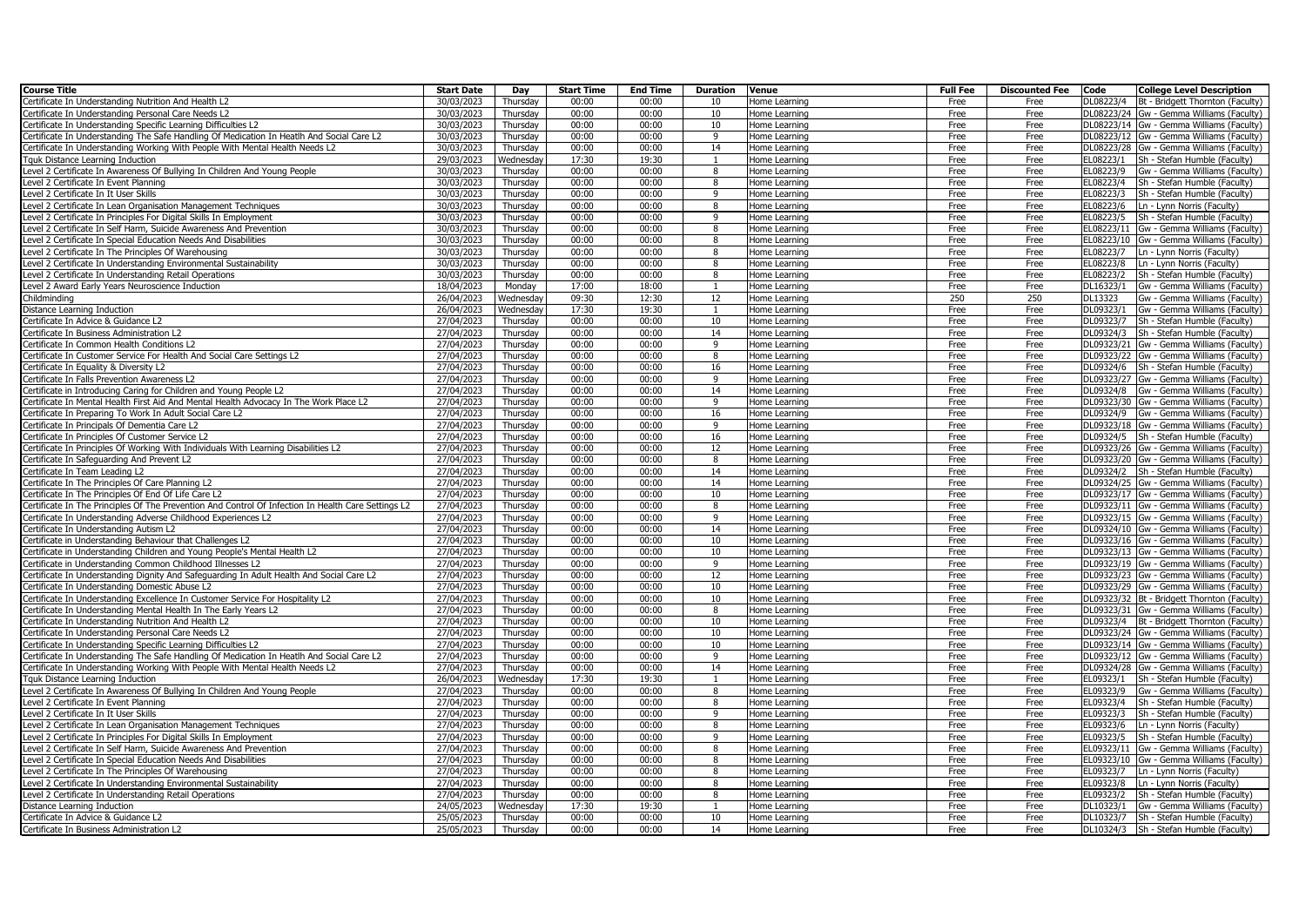| <b>Course Title</b>                                                                                 | <b>Start Date</b>       | Day       | <b>Start Time</b> | <b>End Time</b> | Duration       | Venue         | <b>Full Fee</b> | <b>Discounted Fee</b> | Code      | <b>College Level Description</b>             |
|-----------------------------------------------------------------------------------------------------|-------------------------|-----------|-------------------|-----------------|----------------|---------------|-----------------|-----------------------|-----------|----------------------------------------------|
| Certificate In Understanding Nutrition And Health L2                                                | 30/03/2023              | Thursday  | 00:00             | 00:00           | 10             | Home Learning | Free            | Free                  | DL08223/4 | Bt - Bridgett Thornton (Faculty)             |
| Certificate In Understanding Personal Care Needs L2                                                 | 30/03/2023              | Thursday  | 00:00             | 00:00           | 10             | Home Learning | Free            | Free                  |           | DL08223/24 Gw - Gemma Williams (Faculty)     |
| Certificate In Understanding Specific Learning Difficulties L2                                      | 30/03/2023              | Thursdav  | 00:00             | 00:00           | 10             | Home Learning | Free            | Free                  |           | DL08223/14 Gw - Gemma Williams (Faculty)     |
| Certificate In Understanding The Safe Handling Of Medication In Heatlh And Social Care L2           | 30/03/2023              | Thursday  | 00:00             | 00:00           | 9              | Home Learning | Free            | Free                  |           | DL08223/12 Gw - Gemma Williams (Faculty)     |
| Certificate In Understanding Working With People With Mental Health Needs L2                        | 30/03/2023              | Thursdav  | 00:00             | 00:00           | 14             | Home Learning | Free            | Free                  |           | DL08223/28 Gw - Gemma Williams (Faculty)     |
| Tquk Distance Learning Induction                                                                    | 29/03/2023              | Wednesday | 17:30             | 19:30           | $\mathbf{1}$   | Home Learning | Free            | Free                  | EL08223/1 | Sh - Stefan Humble (Faculty)                 |
| Level 2 Certificate In Awareness Of Bullying In Children And Young People                           | 30/03/2023              | Thursday  | 00:00             | 00:00           | 8              | Home Learning | Free            | Free                  | EL08223/9 | Gw - Gemma Williams (Faculty)                |
| Level 2 Certificate In Event Planning                                                               | 30/03/2023              | Thursday  | 00:00             | 00:00           | 8              | Home Learning | Free            | Free                  | EL08223/4 | Sh - Stefan Humble (Faculty)                 |
| Level 2 Certificate In It User Skills                                                               | 30/03/2023              | Thursday  | 00:00             | 00:00           | $\mathbf{q}$   | Home Learning | Free            | Free                  | EL08223/3 | Sh - Stefan Humble (Faculty)                 |
| Level 2 Certificate In Lean Organisation Management Techniques                                      | 30/03/2023              | Thursday  | 00:00             | 00:00           | 8              | Home Learning | Free            | Free                  | EL08223/6 | Ln - Lynn Norris (Faculty)                   |
| Level 2 Certificate In Principles For Digital Skills In Employment                                  | 30/03/2023              | Thursday  | 00:00             | 00:00           | $\mathbf{q}$   | Home Learning | Free            | Free                  | EL08223/5 | Sh - Stefan Humble (Faculty)                 |
| Level 2 Certificate In Self Harm, Suicide Awareness And Prevention                                  | 30/03/2023              | Thursday  | 00:00             | 00:00           | $\mathbf{g}$   | Home Learning | Free            | Free                  |           | EL08223/11 Gw - Gemma Williams (Faculty)     |
| Level 2 Certificate In Special Education Needs And Disabilities                                     | 30/03/2023              | Thursday  | 00:00             | 00:00           | 8              | Home Learning | Free            | Free                  |           | EL08223/10 Gw - Gemma Williams (Faculty)     |
| Level 2 Certificate In The Principles Of Warehousing                                                | 30/03/2023              | Thursday  | 00:00             | 00:00           | $\mathbf{g}$   | Home Learning | Free            | Free                  | EL08223/7 | Ln - Lynn Norris (Faculty)                   |
| Level 2 Certificate In Understanding Environmental Sustainability                                   | 30/03/2023              | Thursdav  | 00:00             | 00:00           | 8              | Home Learning | Free            | Free                  | EL08223/8 | Ln - Lynn Norris (Faculty)                   |
| Level 2 Certificate In Understanding Retail Operations                                              | 30/03/2023              | Thursday  | 00:00             | 00:00           | 8              | Home Learning | Free            | Free                  | EL08223/2 | Sh - Stefan Humble (Faculty)                 |
| Level 2 Award Early Years Neuroscience Induction                                                    | 18/04/2023              | Monday    | 17:00             | 18:00           | $\overline{1}$ | Home Learning | Free            | Free                  | DL16323/1 | Gw - Gemma Williams (Faculty)                |
| Childmindina                                                                                        | 26/04/2023              | Wednesday | 09:30             | 12:30           | 12             | Home Learning | 250             | 250                   | DL13323   | Gw - Gemma Williams (Faculty)                |
| Distance Learning Induction                                                                         | 26/04/2023              | Wednesday | 17:30             | 19:30           | $\overline{1}$ | Home Learning | Free            | Free                  | DL09323/1 | Gw - Gemma Williams (Faculty)                |
| Certificate In Advice & Guidance L2                                                                 | 27/04/2023              | Thursdav  | 00:00             | 00:00           | 10             | Home Learning | Free            | Free                  | DL09323/7 | Sh - Stefan Humble (Faculty)                 |
| Certificate In Business Administration L2                                                           | 27/04/2023              | Thursday  | 00:00             | 00:00           | 14             | Home Learning | Free            | Free                  | DL09324/3 | Sh - Stefan Humble (Faculty)                 |
| Certificate In Common Health Conditions L2                                                          | 27/04/2023              | Thursday  | 00:00             | 00:00           | $\mathbf{q}$   | Home Learning | Free            | Free                  |           | DL09323/21 Gw - Gemma Williams (Faculty)     |
| Certificate In Customer Service For Health And Social Care Settings L2                              | 27/04/2023              | Thursday  | 00:00             | 00:00           | 8              | Home Learning | Free            | Free                  |           | DL09323/22 Gw - Gemma Williams (Faculty)     |
| Certificate In Equality & Diversity L2                                                              | 27/04/2023              | Thursday  | 00:00             | 00:00           | 16             | Home Learning | Free            | Free                  |           | DL09324/6 Sh - Stefan Humble (Faculty)       |
| Certificate In Falls Prevention Awareness L2                                                        | $\overline{27}/04/2023$ | Thursday  | 00:00             | 00:00           | 9              | Home Learning | Free            | Free                  |           | DL09323/27 Gw - Gemma Williams (Faculty)     |
| Certificate in Introducing Caring for Children and Young People L2                                  | 27/04/2023              | Thursday  | 00:00             | 00:00           | 14             | Home Learning | Free            | Free                  |           | DL09324/8 Gw - Gemma Williams (Faculty)      |
| Certificate In Mental Health First Aid And Mental Health Advocacy In The Work Place L2              | 27/04/2023              | Thursday  | 00:00             | 00:00           | 9              | Home Learning | Free            | Free                  |           | DL09323/30 Gw - Gemma Williams (Faculty)     |
| Certificate In Preparing To Work In Adult Social Care L2                                            | 27/04/2023              | Thursday  | 00:00             | 00:00           | 16             | Home Learning | Free            | Free                  |           | DL09324/9 Gw - Gemma Williams (Faculty)      |
| Certificate In Principals Of Dementia Care L2                                                       | 27/04/2023              | Thursday  | 00:00             | 00:00           | 9              | Home Learning | Free            | Free                  |           | DL09323/18 Gw - Gemma Williams (Faculty)     |
| Certificate In Principles Of Customer Service L2                                                    | 27/04/2023              | Thursdav  | 00:00             | 00:00           | 16             | Home Learning | Free            | Free                  |           | DL09324/5   Sh - Stefan Humble (Faculty)     |
| Certificate In Principles Of Working With Individuals With Learning Disabilities L2                 | 27/04/2023              | Thursday  | 00:00             | 00:00           | 12             | Home Learning | Free            | Free                  |           | DL09323/26 Gw - Gemma Williams (Faculty)     |
| Certificate In Safeguarding And Prevent L2                                                          | 27/04/2023              | Thursdav  | 00:00             | 00:00           | 8              | Home Learning | Free            | Free                  |           | DL09323/20 Gw - Gemma Williams (Faculty)     |
| Certificate In Team Leading L2                                                                      | 27/04/2023              | Thursday  | 00:00             | 00:00           | 14             | Home Learning | Free            | Free                  |           | DL09324/2 Sh - Stefan Humble (Faculty)       |
| Certificate In The Principles Of Care Planning L2                                                   | 27/04/2023              | Thursday  | 00:00             | 00:00           | 14             | Home Learning | Free            | Free                  |           | DL09324/25 Gw - Gemma Williams (Faculty)     |
| Certificate In The Principles Of End Of Life Care L2                                                | 27/04/2023              | Thursdav  | 00:00             | 00:00           | 10             | Home Learning | Free            | Free                  |           | DL09323/17 Gw - Gemma Williams (Faculty)     |
| Certificate In The Principles Of The Prevention And Control Of Infection In Health Care Settings L2 | 27/04/2023              | Thursday  | 00:00             | 00:00           | 8              | Home Learning | Free            | Free                  |           | DL09323/11 Gw - Gemma Williams (Faculty)     |
| Certificate In Understanding Adverse Childhood Experiences L2                                       | 27/04/2023              | Thursdav  | 00:00             | 00:00           | 9              | Home Learning | Free            | Free                  |           | DL09323/15 Gw - Gemma Williams (Faculty)     |
| Certificate In Understanding Autism L2                                                              | 27/04/2023              | Thursday  | 00:00             | 00:00           | 14             | Home Learning | Free            | Free                  |           | DL09324/10 Gw - Gemma Williams (Faculty)     |
| Certificate in Understanding Behaviour that Challenges L2                                           | 27/04/2023              | Thursday  | 00:00             | 00:00           | 10             | Home Learning | Free            | Free                  |           | DL09323/16 Gw - Gemma Williams (Faculty)     |
| Certificate in Understanding Children and Young People's Mental Health L2                           | 27/04/2023              | Thursday  | 00:00             | 00:00           | 10             | Home Learning | Free            | Free                  |           | DL09323/13 Gw - Gemma Williams (Faculty)     |
| Certificate in Understanding Common Childhood Illnesses L2                                          | 27/04/2023              | Thursday  | 00:00             | 00:00           | $\mathbf{q}$   | Home Learning | Free            | Free                  |           | DL09323/19 Gw - Gemma Williams (Faculty)     |
| Certificate In Understanding Dignity And Safeguarding In Adult Health And Social Care L2            | 27/04/2023              | Thursday  | 00:00             | 00:00           | 12             | Home Learning | Free            | Free                  |           | DL09323/23 Gw - Gemma Williams (Faculty)     |
| Certificate In Understanding Domestic Abuse L2                                                      | 27/04/2023              | Thursday  | 00:00             | 00:00           | 10             | Home Learning | Free            | Free                  |           | DL09323/29 Gw - Gemma Williams (Faculty)     |
| Certificate In Understanding Excellence In Customer Service For Hospitality L2                      | 27/04/2023              | Thursday  | 00:00             | 00:00           | 10             | Home Learning | Free            | Free                  |           | DL09323/32 Bt - Bridgett Thornton (Faculty)  |
| Certificate In Understanding Mental Health In The Early Years L2                                    | 27/04/2023              | Thursday  | 00:00             | 00:00           | 8              | Home Learning | Free            | Free                  |           | DL09323/31 Gw - Gemma Williams (Faculty)     |
| Certificate In Understanding Nutrition And Health L2                                                | 27/04/2023              | Thursday  | 00:00             | 00:00           | 10             | Home Learning | Free            | Free                  |           | DL09323/4   Bt - Bridgett Thornton (Faculty) |
| Certificate In Understanding Personal Care Needs L2                                                 | 27/04/2023              | Thursdav  | 00:00             | 00:00           | 10             | Home Learning | Free            | Free                  |           | DL09323/24 Gw - Gemma Williams (Faculty)     |
| Certificate In Understanding Specific Learning Difficulties L2                                      | 27/04/2023              | Thursday  | 00:00             | 00:00           | 10             | Home Learning | Free            | Free                  |           | DL09323/14 Gw - Gemma Williams (Faculty)     |
| Certificate In Understanding The Safe Handling Of Medication In Heatlh And Social Care L2           | 27/04/2023              | Thursday  | 00:00             | 00:00           | $\mathbf{q}$   | Home Learning | Free            | Free                  |           | DL09323/12 Gw - Gemma Williams (Faculty)     |
| Certificate In Understanding Working With People With Mental Health Needs L2                        | 27/04/2023              | Thursday  | 00:00             | 00:00           | 14             | Home Learning | Free            | Free                  |           | DL09324/28 Gw - Gemma Williams (Faculty)     |
| Tquk Distance Learning Induction                                                                    | 26/04/2023              | Wednesday | 17:30             | 19:30           |                | Home Learning | Free            | Free                  | EL09323/1 | Sh - Stefan Humble (Faculty)                 |
| Level 2 Certificate In Awareness Of Bullying In Children And Young People                           | 27/04/2023              | Thursday  | 00:00             | 00:00           | $\mathbf{g}$   | Home Learning | Free            | Free                  | EL09323/9 | Gw - Gemma Williams (Faculty)                |
| Level 2 Certificate In Event Planning                                                               | 27/04/2023              | Thursday  | 00:00             | 00:00           | 8              | Home Learning | Free            | Free                  | EL09323/4 | Sh - Stefan Humble (Faculty)                 |
| Level 2 Certificate In It User Skills                                                               | 27/04/2023              | Thursday  | 00:00             | 00:00           | 9              | Home Learning | Free            | Free                  | EL09323/3 | Sh - Stefan Humble (Faculty)                 |
| Level 2 Certificate In Lean Organisation Management Techniques                                      | 27/04/2023              | Thursday  | 00:00             | 00:00           | 8              | Home Learning | Free            | Free                  | EL09323/6 | Ln - Lynn Norris (Faculty)                   |
| Level 2 Certificate In Principles For Digital Skills In Employment                                  | 27/04/2023              | Thursday  | 00:00             | 00:00           | $\mathbf{q}$   | Home Learning | Free            | Free                  | EL09323/5 | Sh - Stefan Humble (Faculty)                 |
| Level 2 Certificate In Self Harm, Suicide Awareness And Prevention                                  | 27/04/2023              | Thursdav  | 00:00             | 00:00           | 8              | Home Learning | Free            | Free                  |           | EL09323/11 Gw - Gemma Williams (Faculty)     |
| Level 2 Certificate In Special Education Needs And Disabilities                                     | 27/04/2023              | Thursday  | 00:00             | 00:00           | 8              | Home Learning | Free            | Free                  |           | EL09323/10 Gw - Gemma Williams (Faculty)     |
| Level 2 Certificate In The Principles Of Warehousing                                                | $\overline{27}/04/2023$ | Thursday  | 00:00             | 00:00           | 8              | Home Learning | Free            | Free                  |           | EL09323/7   Ln - Lynn Norris (Faculty)       |
| Level 2 Certificate In Understanding Environmental Sustainability                                   | 27/04/2023              | Thursday  | 00:00             | 00:00           | 8              | Home Learning | Free            | Free                  | EL09323/8 | Ln - Lynn Norris (Faculty)                   |
| Level 2 Certificate In Understanding Retail Operations                                              | 27/04/2023              | Thursday  | 00:00             | 00:00           | 8              | Home Learning | Free            | Free                  | EL09323/2 | Sh - Stefan Humble (Faculty)                 |
| Distance Learning Induction                                                                         | 24/05/2023              | Wednesday | 17:30             | 19:30           | $\overline{1}$ | Home Learning | Free            | Free                  | DL10323/1 | Gw - Gemma Williams (Faculty)                |
| Certificate In Advice & Guidance L2                                                                 | 25/05/2023              | Thursday  | 00:00             | 00:00           | 10             | Home Learning | Free            | Free                  | DL10323/7 | Sh - Stefan Humble (Faculty)                 |
|                                                                                                     | 25/05/2023              | Thursday  | 00:00             | 00:00           | 14             | Home Learning | Free            | Free                  |           | DL10324/3 Sh - Stefan Humble (Faculty)       |
| Certificate In Business Administration L2                                                           |                         |           |                   |                 |                |               |                 |                       |           |                                              |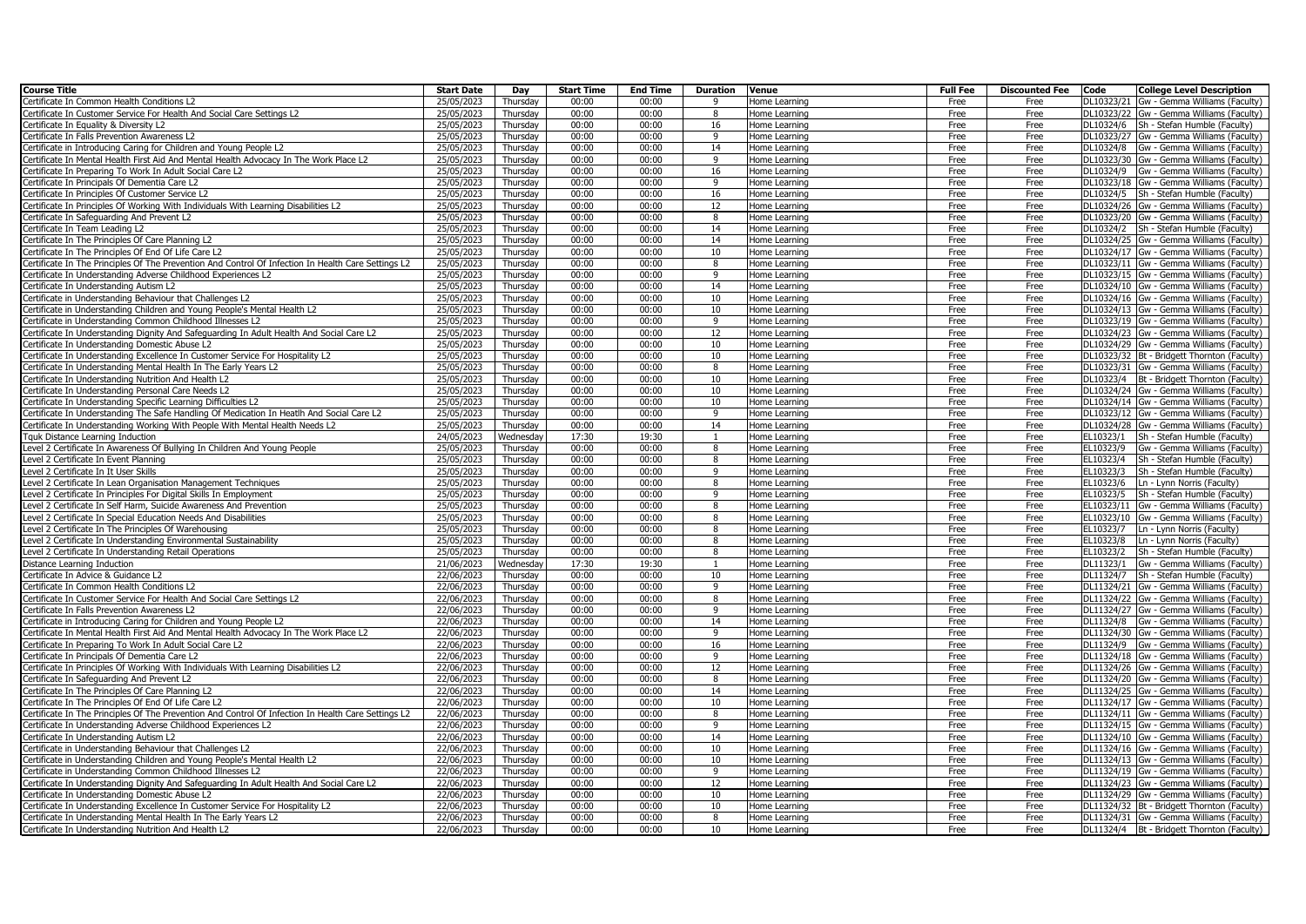| <b>Course Title</b>                                                                                                                                  | <b>Start Date</b>        | Day                  | <b>Start Time</b> | <b>End Time</b> | <b>Duration</b> | Venue                          | <b>Full Fee</b> | <b>Discounted Fee</b> | Code      | <b>College Level Description</b>                                                         |
|------------------------------------------------------------------------------------------------------------------------------------------------------|--------------------------|----------------------|-------------------|-----------------|-----------------|--------------------------------|-----------------|-----------------------|-----------|------------------------------------------------------------------------------------------|
| Certificate In Common Health Conditions L2                                                                                                           | 25/05/2023               | Thursday             | 00:00             | 00:00           | <b>q</b>        | Home Learning                  | Free            | Free                  |           | DL10323/21 Gw - Gemma Williams (Faculty)                                                 |
| Certificate In Customer Service For Health And Social Care Settings L2                                                                               | 25/05/2023               | Thursday             | 00:00             | 00:00           | 8               | Home Learning                  | Free            | Free                  |           | DL10323/22 Gw - Gemma Williams (Faculty)                                                 |
| ertificate In Equality & Diversity L2                                                                                                                | 25/05/2023               | Thursdav             | 00:00             | 00:00           | 16              | Home Learning                  | Free            | Free                  |           | DL10324/6 Sh - Stefan Humble (Faculty)                                                   |
| Certificate In Falls Prevention Awareness L2                                                                                                         | 25/05/2023               | Thursday             | 00:00             | 00:00           | 9               | Home Learning                  | Free            | Free                  |           | DL10323/27 Gw - Gemma Williams (Faculty)                                                 |
| Certificate in Introducing Caring for Children and Young People L2                                                                                   | 25/05/2023               | Thursdav             | 00:00             | 00:00           | 14              | Home Learning                  | Free            | Free                  |           | DL10324/8 Gw - Gemma Williams (Faculty)                                                  |
| Certificate In Mental Health First Aid And Mental Health Advocacy In The Work Place L2                                                               | 25/05/2023               | Thursday             | 00:00             | 00:00           | 9               | Home Learning                  | Free            | Free                  |           | DL10323/30 Gw - Gemma Williams (Faculty)                                                 |
| Certificate In Preparing To Work In Adult Social Care L2                                                                                             | 25/05/2023               | Thursdav             | 00:00             | 00:00           | 16              | Home Learning                  | Free            | Free                  |           | DL10324/9 Gw - Gemma Williams (Faculty)                                                  |
| ertificate In Principals Of Dementia Care L2                                                                                                         | 25/05/2023               | Thursday             | 00:00             | 00:00           | 9               | Home Learning                  | Free            | Free                  |           | DL10323/18 Gw - Gemma Williams (Faculty)                                                 |
| ertificate In Principles Of Customer Service L2                                                                                                      | 25/05/2023               | Thursday             | 00:00             | 00:00           | 16              | Home Learning                  | Free            | Free                  |           | DL10324/5 Sh - Stefan Humble (Faculty)                                                   |
| ertificate In Principles Of Working With Individuals With Learning Disabilities L2                                                                   | 25/05/2023               | Thursday             | 00:00             | 00:00           | 12              | Home Learning                  | Free            | Free                  |           | DL10324/26 Gw - Gemma Williams (Faculty)                                                 |
| ertificate In Safeguarding And Prevent L2                                                                                                            | 25/05/2023               | Thursday             | 00:00             | 00:00           | 8               | Home Learning                  | Free            | Free                  |           | DL10323/20 Gw - Gemma Williams (Faculty)                                                 |
| Certificate In Team Leading L2                                                                                                                       | 25/05/2023               | Thursday             | 00:00             | 00:00           | 14              | Home Learning                  | Free            | Free                  |           | DL10324/2   Sh - Stefan Humble (Faculty)                                                 |
| ertificate In The Principles Of Care Planning L2                                                                                                     | 25/05/2023               | Thursday             | 00:00             | 00:00           | 14              | Home Learning                  | Free            | Free                  |           | DL10324/25 Gw - Gemma Williams (Faculty)                                                 |
| Certificate In The Principles Of End Of Life Care L2                                                                                                 | 25/05/2023               | Thursday             | 00:00             | 00:00           | 10              | Home Learning                  | Free            | Free                  |           | DL10324/17 Gw - Gemma Williams (Faculty)                                                 |
| Certificate In The Principles Of The Prevention And Control Of Infection In Health Care Settings L2                                                  | 25/05/2023               | Thursdav             | 00:00             | 00:00           | $\mathbf{g}$    | Home Learning                  | Free            | Free                  |           | DL10323/11 Gw - Gemma Williams (Faculty)                                                 |
| ertificate In Understanding Adverse Childhood Experiences L2                                                                                         | 25/05/2023               | Thursday             | 00:00             | 00:00           | 9               | Home Learning                  | Free            | Free                  |           | DL10323/15 Gw - Gemma Williams (Faculty)                                                 |
| Certificate In Understanding Autism L2                                                                                                               | 25/05/2023               | Thursdav             | 00:00             | 00:00           | 14              | Home Learning                  | Free            | Free                  |           | DL10324/10 Gw - Gemma Williams (Faculty)                                                 |
| ertificate in Understanding Behaviour that Challenges L2<br>Certificate in Understanding Children and Young People's Mental Health L2                | 25/05/2023               | Thursday<br>Thursday | 00:00<br>00:00    | 00:00<br>00:00  | 10<br>10        | Home Learning                  | Free            | Free<br>Free          |           | DL10324/16 Gw - Gemma Williams (Faculty)<br>DL10324/13 Gw - Gemma Williams (Faculty)     |
|                                                                                                                                                      | 25/05/2023<br>25/05/2023 |                      | 00:00             | 00:00           | 9               | Home Learning                  | Free            |                       |           |                                                                                          |
| ertificate in Understanding Common Childhood Illnesses L2<br>ertificate In Understanding Dignity And Safeguarding In Adult Health And Social Care L2 | 25/05/2023               | Thursday<br>Thursday | 00:00             | 00:00           | 12              | Home Learning<br>Home Learning | Free<br>Free    | Free<br>Free          |           | DL10323/19 Gw - Gemma Williams (Faculty)<br>DL10324/23 Gw - Gemma Williams (Faculty)     |
| ertificate In Understanding Domestic Abuse L2                                                                                                        | 25/05/2023               | Thursday             | 00:00             | 00:00           | 10              |                                | Free            |                       |           | DL10324/29 Gw - Gemma Williams (Faculty)                                                 |
| ertificate In Understanding Excellence In Customer Service For Hospitality L2                                                                        | 25/05/2023               | Thursday             | 00:00             | 00:00           | 10              | Home Learning<br>Home Learning | Free            | Free<br>Free          |           | DL10323/32 Bt - Bridgett Thornton (Faculty)                                              |
|                                                                                                                                                      |                          |                      | 00:00             | 00:00           | 8               |                                |                 | Free                  |           |                                                                                          |
| ertificate In Understanding Mental Health In The Early Years L2<br>Certificate In Understanding Nutrition And Health L2                              | 25/05/2023<br>25/05/2023 | Thursday<br>Thursday | 00:00             | 00:00           | 10              | Home Learning<br>Home Learning | Free<br>Free    | Free                  |           | DL10323/31 Gw - Gemma Williams (Faculty)<br>DL10323/4   Bt - Bridgett Thornton (Faculty) |
| Certificate In Understanding Personal Care Needs L2                                                                                                  | 25/05/2023               | Thursday             | 00:00             | 00:00           | 10              | Home Learning                  | Free            | Free                  |           | DL10324/24 Gw - Gemma Williams (Faculty)                                                 |
| ertificate In Understanding Specific Learning Difficulties L2                                                                                        | 25/05/2023               | Thursday             | 00:00             | 00:00           | 10              | Home Learning                  | Free            | Free                  |           | DL10324/14 Gw - Gemma Williams (Faculty)                                                 |
| ertificate In Understanding The Safe Handling Of Medication In Heatlh And Social Care L2                                                             | 25/05/2023               | Thursday             | 00:00             | 00:00           | q               | Home Learning                  | Free            | Free                  |           | DL10323/12 Gw - Gemma Williams (Faculty)                                                 |
| Certificate In Understanding Working With People With Mental Health Needs L2                                                                         | 25/05/2023               | Thursday             | 00:00             | 00:00           | 14              | Home Learning                  | Free            | Free                  |           | DL10324/28 Gw - Gemma Williams (Faculty)                                                 |
| Tquk Distance Learning Induction                                                                                                                     | 24/05/2023               | Wednesday            | 17:30             | 19:30           |                 | Home Learning                  | Free            | Free                  | EL10323/1 | Sh - Stefan Humble (Faculty)                                                             |
| Level 2 Certificate In Awareness Of Bullying In Children And Young People                                                                            | 25/05/2023               | Thursday             | 00:00             | 00:00           | 8               | Home Learning                  | Free            | Free                  | EL10323/9 | Gw - Gemma Williams (Faculty)                                                            |
| Level 2 Certificate In Event Planning                                                                                                                | 25/05/2023               | Thursdav             | 00:00             | 00:00           | 8               | Home Learning                  | Free            | Free                  | EL10323/4 | Sh - Stefan Humble (Faculty)                                                             |
| Level 2 Certificate In It User Skills                                                                                                                | 25/05/2023               | Thursday             | 00:00             | 00:00           | 9               | Home Learning                  | Free            | Free                  | EL10323/3 | Sh - Stefan Humble (Faculty)                                                             |
| Level 2 Certificate In Lean Organisation Management Techniques                                                                                       | 25/05/2023               | Thursdav             | 00:00             | 00:00           | 8               | Home Learning                  | Free            | Free                  | EL10323/6 | Ln - Lynn Norris (Faculty)                                                               |
| Level 2 Certificate In Principles For Digital Skills In Employment                                                                                   | 25/05/2023               | Thursday             | 00:00             | 00:00           | 9               | Home Learning                  | Free            | Free                  | EL10323/5 | Sh - Stefan Humble (Faculty)                                                             |
| Level 2 Certificate In Self Harm, Suicide Awareness And Prevention                                                                                   | 25/05/2023               | Thursday             | 00:00             | 00:00           | 8               | Home Learning                  | Free            | Free                  |           | EL10323/11 Gw - Gemma Williams (Faculty)                                                 |
| Level 2 Certificate In Special Education Needs And Disabilities                                                                                      | 25/05/2023               | Thursday             | 00:00             | 00:00           | 8               | Home Learning                  | Free            | Free                  |           | EL10323/10 Gw - Gemma Williams (Faculty)                                                 |
| evel 2 Certificate In The Principles Of Warehousing                                                                                                  | 25/05/2023               | Thursday             | 00:00             | 00:00           | 8               | Home Learning                  | Free            | Free                  | EL10323/7 | Ln - Lynn Norris (Faculty)                                                               |
| Level 2 Certificate In Understanding Environmental Sustainability                                                                                    | $\overline{25}/05/2023$  | Thursdav             | 00:00             | 00:00           | 8               | Home Learning                  | Free            | Free                  | EL10323/8 | Ln - Lynn Norris (Faculty)                                                               |
| evel 2 Certificate In Understanding Retail Operations                                                                                                | 25/05/2023               | Thursday             | 00:00             | 00:00           | 8               | Home Learning                  | Free            | Free                  | EL10323/2 | Sh - Stefan Humble (Faculty)                                                             |
| Vistance Learning Induction                                                                                                                          | 21/06/2023               | Wednesday            | 17:30             | 19:30           |                 | Home Learning                  | Free            | Free                  | DL11323/1 | Gw - Gemma Williams (Faculty)                                                            |
| Certificate In Advice & Guidance L2                                                                                                                  | 22/06/2023               | Thursdav             | 00:00             | 00:00           | 10              | Home Learning                  | Free            | Free                  | DL11324/7 | Sh - Stefan Humble (Faculty)                                                             |
| ertificate In Common Health Conditions L2                                                                                                            | 22/06/2023               | Thursday             | 00:00             | 00:00           | 9               | Home Learning                  | Free            | Free                  |           | DL11324/21 Gw - Gemma Williams (Faculty)                                                 |
| Certificate In Customer Service For Health And Social Care Settings L2                                                                               | 22/06/2023               | Thursday             | 00:00             | 00:00           | $\mathbf{g}$    | Home Learning                  | Free            | Free                  |           | DL11324/22 Gw - Gemma Williams (Faculty)                                                 |
| ertificate In Falls Prevention Awareness L2                                                                                                          | 22/06/2023               | Thursday             | 00:00             | 00:00           | 9               | Home Learning                  | Free            | Free                  |           | DL11324/27 Gw - Gemma Williams (Faculty)                                                 |
| Certificate in Introducing Caring for Children and Young People L2                                                                                   | 22/06/2023               | Thursday             | 00:00             | 00:00           | 14              | Home Learning                  | Free            | Free                  |           | DL11324/8 Gw - Gemma Williams (Faculty)                                                  |
| Certificate In Mental Health First Aid And Mental Health Advocacy In The Work Place L2                                                               | 22/06/2023               | Thursday             | 00:00             | 00:00           | 9               | Home Learning                  | Free            | Free                  |           | DL11324/30 Gw - Gemma Williams (Faculty)                                                 |
| ertificate In Preparing To Work In Adult Social Care L2                                                                                              | 22/06/2023               | Thursday             | 00:00             | 00:00           | 16              | Home Learning                  | Free            | Free                  |           | DL11324/9 Gw - Gemma Williams (Faculty)                                                  |
| Certificate In Principals Of Dementia Care L2                                                                                                        | 22/06/2023               | Thursday             | 00:00             | 00:00           | 9               | Home Learning                  | Free            | Free                  |           | DL11324/18 Gw - Gemma Williams (Faculty)                                                 |
| ertificate In Principles Of Working With Individuals With Learning Disabilities L2                                                                   | 22/06/2023               | Thursday             | 00:00             | 00:00           | 12              | Home Learning                  | Free            | Free                  |           | DL11324/26 Gw - Gemma Williams (Faculty)                                                 |
| Certificate In Safeguarding And Prevent L2                                                                                                           | 22/06/2023               | Thursday             | 00:00             | 00:00           | 8               | Home Learning                  | Free            | Free                  |           | DL11324/20 Gw - Gemma Williams (Faculty)                                                 |
| ertificate In The Principles Of Care Planning L2                                                                                                     | 22/06/2023               | Thursdav             | 00:00             | 00:00           | 14              | Home Learning                  | Free            | Free                  |           | DL11324/25 Gw - Gemma Williams (Faculty)                                                 |
| Certificate In The Principles Of End Of Life Care L2                                                                                                 | 22/06/2023               | Thursday<br>Thursdav | 00:00<br>00:00    | 00:00<br>00:00  | 10              | Home Learning                  | Free            | Free                  |           | DL11324/17 Gw - Gemma Williams (Faculty)                                                 |
| ertificate In The Principles Of The Prevention And Control Of Infection In Health Care Settings L2                                                   | 22/06/2023               |                      |                   |                 | 8               | Home Learning                  | Free            | Free                  |           | DL11324/11 Gw - Gemma Williams (Faculty)                                                 |
| ertificate In Understanding Adverse Childhood Experiences L2                                                                                         | 22/06/2023               | Thursday             | 00:00<br>00:00    | 00:00<br>00:00  | 9<br>14         | Home Learning                  | Free<br>Free    | Free<br>Free          |           | DL11324/15 Gw - Gemma Williams (Faculty)<br>DL11324/10 Gw - Gemma Williams (Faculty)     |
| Certificate In Understanding Autism L2                                                                                                               | 22/06/2023               | Thursday             | 00:00             | 00:00           |                 | Home Learning                  |                 |                       |           |                                                                                          |
| Certificate in Understanding Behaviour that Challenges L2<br>ertificate in Understanding Children and Young People's Mental Health L2                | 22/06/2023<br>22/06/2023 | Thursday<br>Thursday | 00:00             | 00:00           | 10<br>10        | Home Learning<br>Home Learning | Free<br>Free    | Free<br>Free          |           | DL11324/16 Gw - Gemma Williams (Faculty)<br>DL11324/13 Gw - Gemma Williams (Faculty)     |
| Certificate in Understanding Common Childhood Illnesses L2                                                                                           | $\overline{22}/06/2023$  | Thursday             | 00:00             | 00:00           | q               | Home Learning                  | Free            | Free                  |           | DL11324/19 Gw - Gemma Williams (Faculty)                                                 |
| ertificate In Understanding Dignity And Safeguarding In Adult Health And Social Care L2                                                              | 22/06/2023               | Thursday             | 00:00             | 00:00           | 12              | Home Learning                  | Free            | Free                  |           | DL11324/23 Gw - Gemma Williams (Faculty)                                                 |
| Certificate In Understanding Domestic Abuse L2                                                                                                       | 22/06/2023               | Thursday             | 00:00             | 00:00           | 10              | Home Learning                  | Free            | Free                  |           | DL11324/29 Gw - Gemma Williams (Faculty)                                                 |
| ertificate In Understanding Excellence In Customer Service For Hospitality L2                                                                        | 22/06/2023               | Thursday             | 00:00             | 00:00           | 10              | Home Learning                  | Free            | Free                  |           | DL11324/32 Bt - Bridgett Thornton (Faculty)                                              |
| Certificate In Understanding Mental Health In The Early Years L2                                                                                     | 22/06/2023               | Thursday             | 00:00             | 00:00           | $\mathbf{g}$    | Home Learning                  | Free            | Free                  |           | DL11324/31 Gw - Gemma Williams (Faculty)                                                 |
| Certificate In Understanding Nutrition And Health L2                                                                                                 | 22/06/2023               | Thursdav             | 00:00             | 00:00           | 10              | Home Learning                  | Free            | Free                  |           | DL11324/4 Bt - Bridgett Thornton (Faculty)                                               |
|                                                                                                                                                      |                          |                      |                   |                 |                 |                                |                 |                       |           |                                                                                          |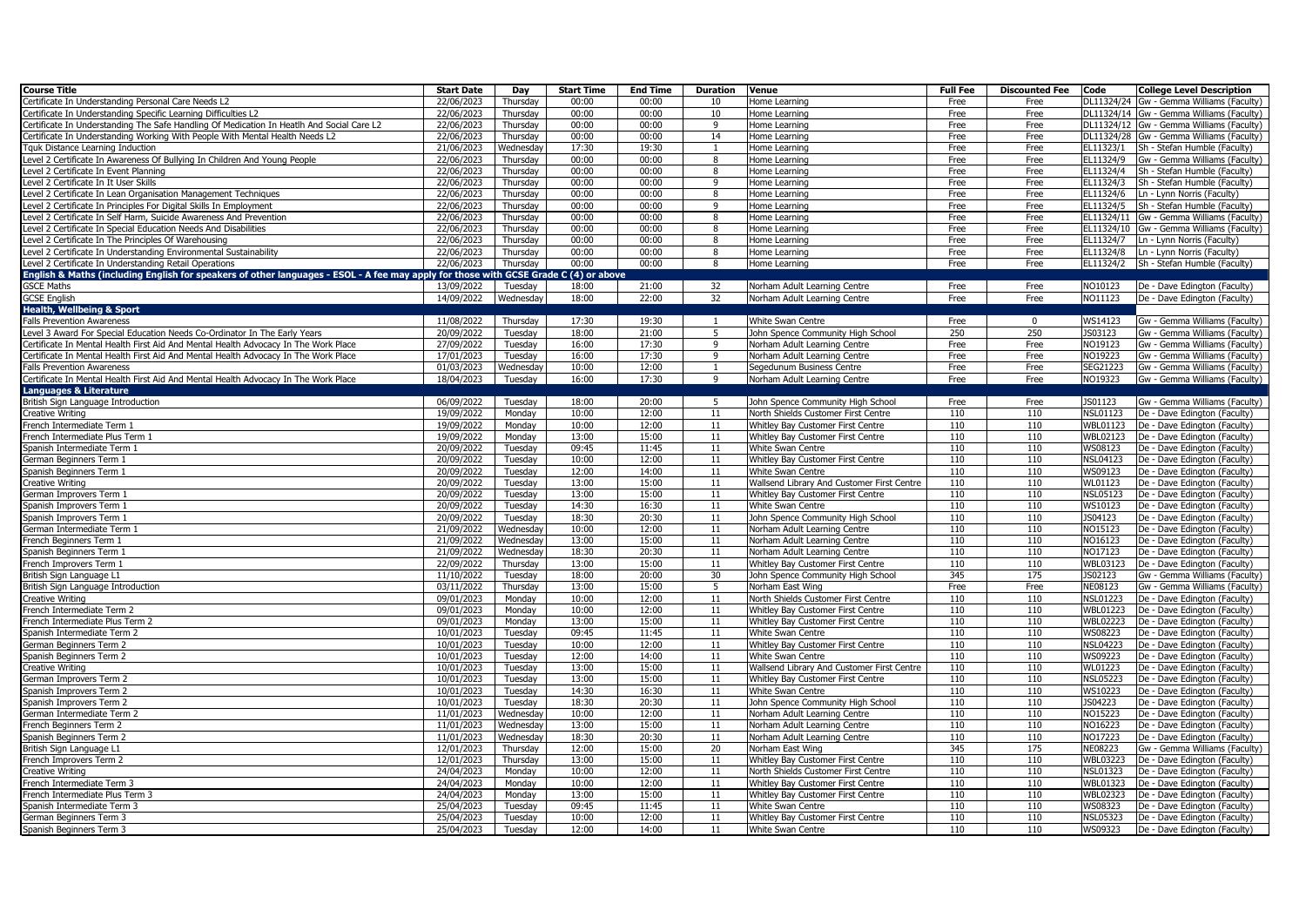| <b>Course Title</b>                                                                                                                  | <b>Start Date</b>   | Day       | <b>Start Time</b> | <b>End Time</b> | <b>Duration</b> | Venue                                      | <b>Full Fee</b> | <b>Discounted Fee</b> | Code            | <b>College Level Description</b>         |
|--------------------------------------------------------------------------------------------------------------------------------------|---------------------|-----------|-------------------|-----------------|-----------------|--------------------------------------------|-----------------|-----------------------|-----------------|------------------------------------------|
| Certificate In Understanding Personal Care Needs L2                                                                                  | 22/06/2023          | Thursday  | 00:00             | 00:00           | 10              | Home Learning                              | Free            | Free                  |                 | DL11324/24 Gw - Gemma Williams (Faculty) |
| Certificate In Understanding Specific Learning Difficulties L2                                                                       | 22/06/2023          | Thursday  | 00:00             | 00:00           | 10              | Home Learning                              | Free            | Free                  |                 | DL11324/14 Gw - Gemma Williams (Faculty) |
| Certificate In Understanding The Safe Handling Of Medication In Heatlh And Social Care L2                                            | 22/06/2023          | Thursday  | 00:00             | 00:00           | 9               | Home Learning                              | Free            | Free                  |                 | DL11324/12 Gw - Gemma Williams (Faculty) |
| Certificate In Understanding Working With People With Mental Health Needs L2                                                         | 22/06/2023          | Thursday  | 00:00             | 00:00           | 14              | Home Learning                              | Free            | Free                  |                 | DL11324/28 Gw - Gemma Williams (Faculty) |
| Tquk Distance Learning Induction                                                                                                     | 21/06/2023          | Wednesday | 17:30             | 19:30           | $\mathbf{1}$    | Home Learning                              | Free            | Free                  | EL11323/1       | Sh - Stefan Humble (Faculty)             |
| Level 2 Certificate In Awareness Of Bullying In Children And Young People                                                            | 22/06/2023          | Thursday  | 00:00             | 00:00           | -8              | Home Learning                              | Free            | Free                  | EL11324/9       | Gw - Gemma Williams (Faculty)            |
| Level 2 Certificate In Event Planning                                                                                                | 22/06/2023          | Thursday  | 00:00             | 00:00           | 8               | Home Learning                              | Free            | Free                  | EL11324/4       | Sh - Stefan Humble (Faculty)             |
| Level 2 Certificate In It User Skills                                                                                                | 22/06/2023          | Thursdav  | 00:00             | 00:00           | 9               | Home Learning                              | Free            | Free                  |                 | EL11324/3 Sh - Stefan Humble (Faculty)   |
| Level 2 Certificate In Lean Organisation Management Techniques                                                                       | 22/06/2023          | Thursdav  | 00:00             | 00:00           | 8               | Home Learning                              | Free            | Free                  |                 | EL11324/6   Ln - Lynn Norris (Faculty)   |
| Level 2 Certificate In Principles For Digital Skills In Employment                                                                   | 22/06/2023          | Thursday  | 00:00             | 00:00           | q               | Home Learning                              | Free            | Free                  |                 | EL11324/5 Sh - Stefan Humble (Faculty)   |
| Level 2 Certificate In Self Harm, Suicide Awareness And Prevention                                                                   | 22/06/2023          | Thursday  | 00:00             | 00:00           | 8               | Home Learning                              | Free            | Free                  |                 | EL11324/11 Gw - Gemma Williams (Faculty) |
| Level 2 Certificate In Special Education Needs And Disabilities                                                                      | 22/06/2023          | Thursday  | 00:00             | 00:00           | 8               | Home Learning                              | Free            | Free                  |                 | EL11324/10 Gw - Gemma Williams (Faculty) |
| Level 2 Certificate In The Principles Of Warehousing                                                                                 | 22/06/2023          | Thursdav  | 00:00             | 00:00           | $\mathbf{g}$    | Home Learning                              | Free            | Free                  | EL11324/7       | Ln - Lynn Norris (Faculty)               |
| Level 2 Certificate In Understanding Environmental Sustainability                                                                    | 22/06/2023          | Thursday  | 00:00             | 00:00           | 8               | Home Learning                              | Free            | Free                  | EL11324/8       | Ln - Lynn Norris (Faculty)               |
| Level 2 Certificate In Understanding Retail Operations                                                                               | 22/06/2023          | Thursdav  | 00:00             | 00:00           | 8               | Home Learning                              | Free            | Free                  |                 | EL11324/2 Sh - Stefan Humble (Faculty)   |
| English & Maths (including English for speakers of other languages - ESOL - A fee may apply for those with GCSE Grade C (4) or above |                     |           |                   |                 |                 |                                            |                 |                       |                 |                                          |
| <b>GSCE Maths</b>                                                                                                                    | 13/09/2022          | Tuesday   | 18:00             | 21:00           | 32              | Norham Adult Learning Centre               | Free            | Free                  | NO10123         | De - Dave Edington (Faculty)             |
| <b>GCSE English</b>                                                                                                                  | 14/09/2022          | Wednesday | 18:00             | 22:00           | 32              | Norham Adult Learning Centre               | Free            | Free                  | NO11123         | De - Dave Edington (Faculty)             |
| <b>Health, Wellbeing &amp; Sport</b>                                                                                                 |                     |           |                   |                 |                 |                                            |                 |                       |                 |                                          |
| <b>Falls Prevention Awareness</b>                                                                                                    | 11/08/2022          | Thursday  | 17:30             | 19:30           | -1              | White Swan Centre                          | Free            | $\overline{0}$        | WS14123         | Gw - Gemma Williams (Faculty)            |
| Level 3 Award For Special Education Needs Co-Ordinator In The Early Years                                                            | 20/09/2022          | Tuesday   | 18:00             | 21:00           | 5               | John Spence Community High School          | 250             | 250                   | JS03123         | Gw - Gemma Williams (Faculty)            |
| Certificate In Mental Health First Aid And Mental Health Advocacy In The Work Place                                                  | 27/09/2022          | Tuesday   | 16:00             | 17:30           | 9               | Norham Adult Learning Centre               | Free            | Free                  | NO19123         | Gw - Gemma Williams (Faculty)            |
| Certificate In Mental Health First Aid And Mental Health Advocacy In The Work Place                                                  | 17/01/2023          | Tuesday   | 16:00             | 17:30           | 9               | Norham Adult Learning Centre               | Free            | Free                  | NO19223         | Gw - Gemma Williams (Faculty)            |
| <b>Falls Prevention Awareness</b>                                                                                                    | 01/03/2023          | Wednesday | 10:00             | 12:00           |                 | Segedunum Business Centre                  | Free            | Free                  | SEG21223        | Gw - Gemma Williams (Faculty)            |
| Certificate In Mental Health First Aid And Mental Health Advocacy In The Work Place                                                  | 18/04/2023          | Tuesday   | 16:00             | 17:30           | 9               | Norham Adult Learning Centre               | Free            | Free                  | NO19323         | Gw - Gemma Williams (Faculty)            |
| <b>Languages &amp; Literature</b>                                                                                                    |                     |           |                   |                 |                 |                                            |                 |                       |                 |                                          |
| British Sign Language Introduction                                                                                                   | 06/09/2022          | Tuesday   | 18:00             | 20:00           | 5               | John Spence Community High School          | Free            | Free                  | JS01123         | Gw - Gemma Williams (Faculty)            |
| Creative Writing                                                                                                                     | 19/09/2022          | Monday    | 10:00             | 12:00           | 11              | North Shields Customer First Centre        | 110             | 110                   | <b>NSL01123</b> | De - Dave Edington (Faculty)             |
| French Intermediate Term 1                                                                                                           | 19/09/2022          | Monday    | 10:00             | 12:00           | 11              | Whitley Bay Customer First Centre          | 110             | 110                   | WBL01123        | De - Dave Edington (Faculty)             |
| French Intermediate Plus Term 1                                                                                                      | 19/09/2022          | Monday    | 13:00             | 15:00           | 11              | Whitley Bay Customer First Centre          | 110             | 110                   | <b>WBL02123</b> | De - Dave Edington (Faculty)             |
| Spanish Intermediate Term 1                                                                                                          | 20/09/2022          | Tuesday   | 09:45             | 11:45           | 11              | White Swan Centre                          | 110             | 110                   | WS08123         | De - Dave Edington (Faculty)             |
| German Beginners Term 1                                                                                                              | 20/09/2022          | Tuesday   | 10:00             | 12:00           | 11              | Whitley Bay Customer First Centre          | 110             | 110                   | <b>NSL04123</b> | De - Dave Edington (Faculty)             |
| Spanish Beginners Term 1                                                                                                             | 20/09/2022          | Tuesday   | 12:00             | 14:00           | 11              | White Swan Centre                          | 110             | 110                   | WS09123         | De - Dave Edington (Faculty)             |
| <b>Creative Writing</b>                                                                                                              | 20/09/2022          | Tuesday   | 13:00             | 15:00           | 11              | Wallsend Library And Customer First Centre | 110             | 110                   | <b>WL01123</b>  | De - Dave Edington (Faculty)             |
| German Improvers Term 1                                                                                                              | 20/09/2022          | Tuesday   | 13:00             | 15:00           | 11              | Whitley Bay Customer First Centre          | 110             | 110                   | <b>NSL05123</b> | De - Dave Edington (Faculty)             |
| Spanish Improvers Term 1                                                                                                             | 20/09/2022          | Tuesday   | 14:30             | 16:30           | 11              | White Swan Centre                          | 110             | 110                   | WS10123         | De - Dave Edington (Faculty)             |
| Spanish Improvers Term 1                                                                                                             | 20/09/2022          | Tuesday   | 18:30             | 20:30           | 11              | John Spence Community High School          | 110             | 110                   | JS04123         | De - Dave Edington (Faculty)             |
| German Intermediate Term 1                                                                                                           | 21/09/2022          | Wednesday | 10:00             | 12:00           | 11              | Norham Adult Learning Centre               | 110             | 110                   | NO15123         | De - Dave Edington (Faculty)             |
| French Beginners Term 1                                                                                                              | 21/09/2022          | Wednesday | 13:00             | 15:00           | 11              | Norham Adult Learning Centre               | 110             | 110                   | NO16123         | De - Dave Edington (Faculty)             |
| Spanish Beginners Term 1                                                                                                             | 21/09/2022          | Wednesday | 18:30             | 20:30           | 11              | Norham Adult Learning Centre               | 110             | 110                   | NO17123         | De - Dave Edington (Faculty)             |
| French Improvers Term 1                                                                                                              | 22/09/2022          | Thursday  | 13:00             | 15:00           | 11              | Whitley Bay Customer First Centre          | 110             | 110                   | WBL03123        | De - Dave Edington (Faculty)             |
| British Sign Language L1                                                                                                             | 11/10/2022          | Tuesday   | 18:00             | 20:00           | 30              | John Spence Community High School          | 345             | 175                   | JS02123         | Gw - Gemma Williams (Faculty)            |
| British Sign Language Introduction                                                                                                   | 03/11/2022          | Thursday  | 13:00             | 15:00           | 5               | Norham East Wing                           | Free            | Free                  | NE08123         | Gw - Gemma Williams (Faculty)            |
| Creative Writing                                                                                                                     | 09/01/2023          | Monday    | 10:00             | 12:00           | 11              | North Shields Customer First Centre        | 110             | 110                   | <b>NSL01223</b> | De - Dave Edington (Faculty)             |
| French Intermediate Term 2                                                                                                           | $\sqrt{09}/01/2023$ | Monday    | 10:00             | 12:00           | 11              | Whitley Bay Customer First Centre          | 110             | 110                   | <b>WBL01223</b> | De - Dave Edington (Faculty)             |
| French Intermediate Plus Term 2                                                                                                      | 09/01/2023          | Monday    | 13:00             | 15:00           | 11              | Whitley Bay Customer First Centre          | 110             | 110                   | WBL02223        | De - Dave Edington (Faculty)             |
| Spanish Intermediate Term 2                                                                                                          | 10/01/2023          | Tuesday   | 09:45             | 11:45           | 11              | White Swan Centre                          | 110             | 110                   | WS08223         | De - Dave Edington (Faculty)             |
| German Beginners Term 2                                                                                                              | 10/01/2023          | Tuesday   | 10:00             | 12:00           | 11              | Whitley Bay Customer First Centre          | 110             | 110                   | <b>NSL04223</b> | De - Dave Edington (Faculty)             |
| Spanish Beginners Term 2                                                                                                             | 10/01/2023          | Tuesday   | 12:00             | 14:00           | 11              | White Swan Centre                          | 110             | 110                   | WS09223         | De - Dave Edington (Faculty)             |
| Creative Writing                                                                                                                     | 10/01/2023          | Tuesday   | 13:00             | 15:00           | 11              | Wallsend Library And Customer First Centre | 110             | 110                   | WL01223         | De - Dave Edington (Faculty)             |
| German Improvers Term 2                                                                                                              | 10/01/2023          | Tuesday   | 13:00             | 15:00           | 11              | Whitley Bay Customer First Centre          | 110             | 110                   | <b>NSL05223</b> | De - Dave Edington (Faculty)             |
| Spanish Improvers Term 2                                                                                                             | 10/01/2023          | Tuesday   | 14:30             | 16:30           | 11              | White Swan Centre                          | 110             | 110                   | WS10223         | De - Dave Edington (Faculty)             |
| Spanish Improvers Term 2                                                                                                             | 10/01/2023          | Tuesday   | 18:30             | 20:30           | 11              | John Spence Community High School          | 110             | 110                   | JS04223         | De - Dave Edington (Faculty)             |
| German Intermediate Term 2                                                                                                           | 11/01/2023          | Wednesday | 10:00             | 12:00           | 11              | Norham Adult Learning Centre               | 110             | 110                   | NO15223         | De - Dave Edington (Faculty)             |
| French Beginners Term 2                                                                                                              | 11/01/2023          | Wednesday | 13:00             | 15:00           | 11              | Norham Adult Learning Centre               | 110             | 110                   | NO16223         | De - Dave Edington (Faculty)             |
| Spanish Beginners Term 2                                                                                                             | 11/01/2023          | Wednesday | 18:30             | 20:30           | 11              | Norham Adult Learning Centre               | 110             | 110                   | NO17223         | De - Dave Edington (Faculty)             |
| British Sign Language L1                                                                                                             | 12/01/2023          | Thursday  | 12:00             | 15:00           | 20              | Norham East Wing                           | 345             | 175                   | NE08223         | Gw - Gemma Williams (Faculty)            |
| French Improvers Term 2                                                                                                              | 12/01/2023          | Thursday  | 13:00             | 15:00           | 11              | Whitley Bay Customer First Centre          | 110             | 110                   | <b>WBL03223</b> | De - Dave Edington (Faculty)             |
| Creative Writing                                                                                                                     | 24/04/2023          | Monday    | 10:00             | 12:00           | 11              | North Shields Customer First Centre        | 110             | 110                   | NSL01323        | De - Dave Edington (Faculty)             |
| French Intermediate Term 3                                                                                                           | 24/04/2023          | Monday    | 10:00             | 12:00           | 11              | Whitley Bay Customer First Centre          | 110             | 110                   | WBL01323        | De - Dave Edington (Faculty)             |
| French Intermediate Plus Term 3                                                                                                      | 24/04/2023          | Monday    | 13:00             | 15:00           | 11              | Whitley Bay Customer First Centre          | 110             | 110                   | WBL02323        | De - Dave Edington (Faculty)             |
| Spanish Intermediate Term 3                                                                                                          | 25/04/2023          | Tuesday   | 09:45             | 11:45           | 11              | White Swan Centre                          | 110             | 110                   | WS08323         | De - Dave Edington (Faculty)             |
| German Beginners Term 3                                                                                                              | 25/04/2023          | Tuesday   | 10:00             | 12:00           | 11              | Whitley Bay Customer First Centre          | 110             | 110                   | NSL05323        | De - Dave Edington (Faculty)             |
| Spanish Beginners Term 3                                                                                                             | 25/04/2023          | Tuesday   | 12:00             | 14:00           | 11              | White Swan Centre                          | 110             | 110                   | WS09323         | De - Dave Edington (Faculty)             |